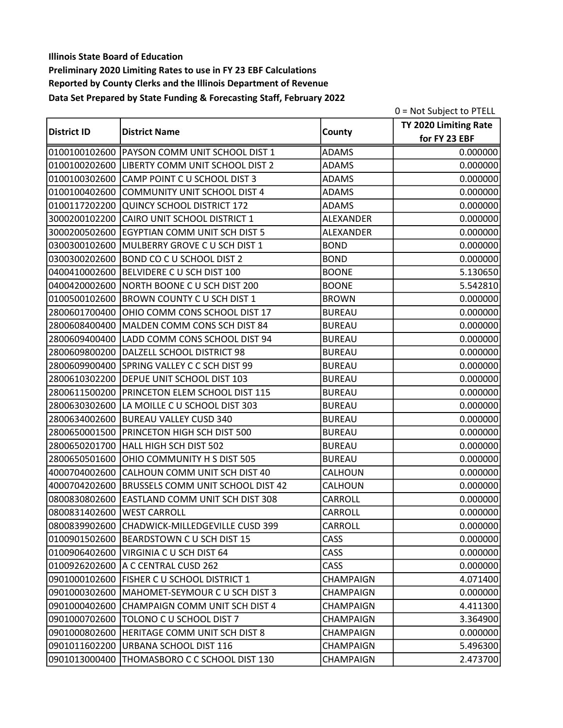|                    |                                               |                  | 0 = Not Subject to PTELL |
|--------------------|-----------------------------------------------|------------------|--------------------------|
|                    |                                               |                  | TY 2020 Limiting Rate    |
| <b>District ID</b> | <b>District Name</b>                          | County           | for FY 23 EBF            |
|                    | 0100100102600 PAYSON COMM UNIT SCHOOL DIST 1  | <b>ADAMS</b>     | 0.000000                 |
|                    | 0100100202600 LIBERTY COMM UNIT SCHOOL DIST 2 | <b>ADAMS</b>     | 0.000000                 |
| 0100100302600      | CAMP POINT C U SCHOOL DIST 3                  | <b>ADAMS</b>     | 0.000000                 |
|                    | 0100100402600 COMMUNITY UNIT SCHOOL DIST 4    | <b>ADAMS</b>     | 0.000000                 |
| 0100117202200      | QUINCY SCHOOL DISTRICT 172                    | <b>ADAMS</b>     | 0.000000                 |
| 3000200102200      | CAIRO UNIT SCHOOL DISTRICT 1                  | ALEXANDER        | 0.000000                 |
|                    | 3000200502600 EGYPTIAN COMM UNIT SCH DIST 5   | ALEXANDER        | 0.000000                 |
|                    | 0300300102600 MULBERRY GROVE C U SCH DIST 1   | <b>BOND</b>      | 0.000000                 |
| 0300300202600      | <b>BOND CO C U SCHOOL DIST 2</b>              | <b>BOND</b>      | 0.000000                 |
| 0400410002600      | BELVIDERE C U SCH DIST 100                    | <b>BOONE</b>     | 5.130650                 |
|                    | 0400420002600 NORTH BOONE C U SCH DIST 200    | <b>BOONE</b>     | 5.542810                 |
| 0100500102600      | <b>BROWN COUNTY C U SCH DIST 1</b>            | <b>BROWN</b>     | 0.000000                 |
| 2800601700400      | OHIO COMM CONS SCHOOL DIST 17                 | <b>BUREAU</b>    | 0.000000                 |
|                    | 2800608400400   MALDEN COMM CONS SCH DIST 84  | <b>BUREAU</b>    | 0.000000                 |
| 2800609400400      | LADD COMM CONS SCHOOL DIST 94                 | <b>BUREAU</b>    | 0.000000                 |
|                    | 2800609800200 DALZELL SCHOOL DISTRICT 98      | <b>BUREAU</b>    | 0.000000                 |
|                    | 2800609900400 SPRING VALLEY C C SCH DIST 99   | <b>BUREAU</b>    | 0.000000                 |
|                    | 2800610302200 DEPUE UNIT SCHOOL DIST 103      | <b>BUREAU</b>    | 0.000000                 |
| 2800611500200      | PRINCETON ELEM SCHOOL DIST 115                | <b>BUREAU</b>    | 0.000000                 |
| 2800630302600      | LA MOILLE C U SCHOOL DIST 303                 | <b>BUREAU</b>    | 0.000000                 |
|                    | 2800634002600 BUREAU VALLEY CUSD 340          | <b>BUREAU</b>    | 0.000000                 |
| 2800650001500      | PRINCETON HIGH SCH DIST 500                   | <b>BUREAU</b>    | 0.000000                 |
| 2800650201700      | HALL HIGH SCH DIST 502                        | <b>BUREAU</b>    | 0.000000                 |
| 2800650501600      | OHIO COMMUNITY H S DIST 505                   | <b>BUREAU</b>    | 0.000000                 |
| 4000704002600      | CALHOUN COMM UNIT SCH DIST 40                 | CALHOUN          | 0.000000                 |
| 4000704202600      | <b>BRUSSELS COMM UNIT SCHOOL DIST 42</b>      | CALHOUN          | 0.000000                 |
| 0800830802600      | EASTLAND COMM UNIT SCH DIST 308               | <b>CARROLL</b>   | 0.000000                 |
| 0800831402600      | <b>WEST CARROLL</b>                           | <b>CARROLL</b>   | 0.000000                 |
|                    | 0800839902600 CHADWICK-MILLEDGEVILLE CUSD 399 | CARROLL          | 0.000000                 |
|                    | 0100901502600 BEARDSTOWN C U SCH DIST 15      | CASS             | 0.000000                 |
|                    | 0100906402600 VIRGINIA C U SCH DIST 64        | CASS             | 0.000000                 |
| 0100926202600      | A C CENTRAL CUSD 262                          | <b>CASS</b>      | 0.000000                 |
|                    | 0901000102600 FISHER C U SCHOOL DISTRICT 1    | <b>CHAMPAIGN</b> | 4.071400                 |
| 0901000302600      | MAHOMET-SEYMOUR C U SCH DIST 3                | <b>CHAMPAIGN</b> | 0.000000                 |
|                    | 0901000402600 CHAMPAIGN COMM UNIT SCH DIST 4  | CHAMPAIGN        | 4.411300                 |
| 0901000702600      | TOLONO C U SCHOOL DIST 7                      | <b>CHAMPAIGN</b> | 3.364900                 |
| 0901000802600      | HERITAGE COMM UNIT SCH DIST 8                 | CHAMPAIGN        | 0.000000                 |
| 0901011602200      | URBANA SCHOOL DIST 116                        | <b>CHAMPAIGN</b> | 5.496300                 |
| 0901013000400      | THOMASBORO C C SCHOOL DIST 130                | CHAMPAIGN        | 2.473700                 |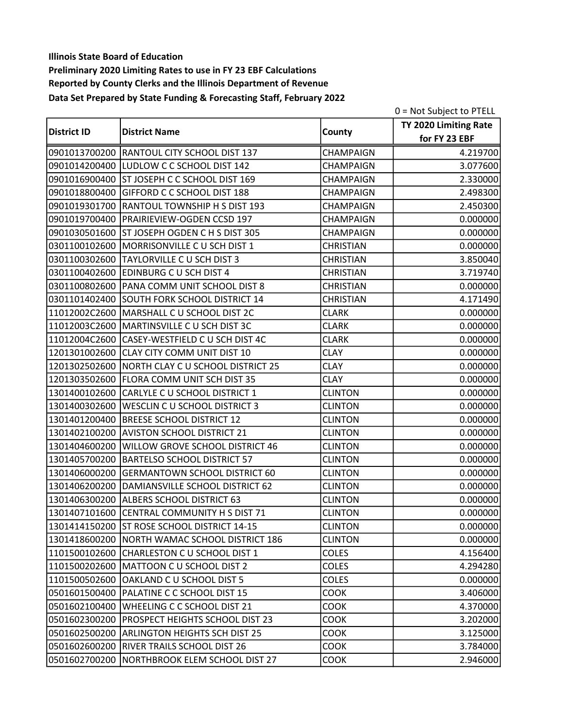|                    |                                                 |                  | 0 = Not Subject to PTELL |
|--------------------|-------------------------------------------------|------------------|--------------------------|
|                    |                                                 |                  | TY 2020 Limiting Rate    |
| <b>District ID</b> | <b>District Name</b>                            | County           | for FY 23 EBF            |
|                    | 0901013700200 RANTOUL CITY SCHOOL DIST 137      | CHAMPAIGN        | 4.219700                 |
|                    | 0901014200400 LUDLOW C C SCHOOL DIST 142        | CHAMPAIGN        | 3.077600                 |
|                    | 0901016900400 ST JOSEPH C C SCHOOL DIST 169     | CHAMPAIGN        | 2.330000                 |
|                    | 0901018800400 GIFFORD C C SCHOOL DIST 188       | CHAMPAIGN        | 2.498300                 |
| 0901019301700      | <b>RANTOUL TOWNSHIP H S DIST 193</b>            | <b>CHAMPAIGN</b> | 2.450300                 |
|                    | 0901019700400 PRAIRIEVIEW-OGDEN CCSD 197        | CHAMPAIGN        | 0.000000                 |
|                    | 0901030501600 ST JOSEPH OGDEN C H S DIST 305    | <b>CHAMPAIGN</b> | 0.000000                 |
|                    | 0301100102600 MORRISONVILLE C U SCH DIST 1      | <b>CHRISTIAN</b> | 0.000000                 |
| 0301100302600      | <b>TAYLORVILLE C U SCH DIST 3</b>               | <b>CHRISTIAN</b> | 3.850040                 |
| 0301100402600      | <b>EDINBURG C U SCH DIST 4</b>                  | <b>CHRISTIAN</b> | 3.719740                 |
|                    | 0301100802600 PANA COMM UNIT SCHOOL DIST 8      | <b>CHRISTIAN</b> | 0.000000                 |
|                    | 0301101402400 SOUTH FORK SCHOOL DISTRICT 14     | <b>CHRISTIAN</b> | 4.171490                 |
|                    | 11012002C2600   MARSHALL C U SCHOOL DIST 2C     | <b>CLARK</b>     | 0.000000                 |
|                    | 11012003C2600 MARTINSVILLE C U SCH DIST 3C      | <b>CLARK</b>     | 0.000000                 |
|                    | 11012004C2600 CASEY-WESTFIELD C U SCH DIST 4C   | <b>CLARK</b>     | 0.000000                 |
|                    | 1201301002600 CLAY CITY COMM UNIT DIST 10       | <b>CLAY</b>      | 0.000000                 |
|                    | 1201302502600 NORTH CLAY C U SCHOOL DISTRICT 25 | <b>CLAY</b>      | 0.000000                 |
|                    | 1201303502600 FLORA COMM UNIT SCH DIST 35       | <b>CLAY</b>      | 0.000000                 |
| 1301400102600      | CARLYLE C U SCHOOL DISTRICT 1                   | <b>CLINTON</b>   | 0.000000                 |
| 1301400302600      | WESCLIN C U SCHOOL DISTRICT 3                   | <b>CLINTON</b>   | 0.000000                 |
| 1301401200400      | <b>BREESE SCHOOL DISTRICT 12</b>                | <b>CLINTON</b>   | 0.000000                 |
| 1301402100200      | <b>AVISTON SCHOOL DISTRICT 21</b>               | <b>CLINTON</b>   | 0.000000                 |
| 1301404600200      | <b>WILLOW GROVE SCHOOL DISTRICT 46</b>          | <b>CLINTON</b>   | 0.000000                 |
| 1301405700200      | <b>BARTELSO SCHOOL DISTRICT 57</b>              | <b>CLINTON</b>   | 0.000000                 |
| 1301406000200      | <b>GERMANTOWN SCHOOL DISTRICT 60</b>            | <b>CLINTON</b>   | 0.000000                 |
|                    | 1301406200200 DAMIANSVILLE SCHOOL DISTRICT 62   | <b>CLINTON</b>   | 0.000000                 |
|                    | 1301406300200 ALBERS SCHOOL DISTRICT 63         | <b>CLINTON</b>   | 0.000000                 |
|                    | 1301407101600 CENTRAL COMMUNITY H S DIST 71     | <b>CLINTON</b>   | 0.000000                 |
|                    | 1301414150200 ST ROSE SCHOOL DISTRICT 14-15     | <b>CLINTON</b>   | 0.000000                 |
|                    | 1301418600200 NORTH WAMAC SCHOOL DISTRICT 186   | <b>CLINTON</b>   | 0.000000                 |
|                    | 1101500102600 CHARLESTON C U SCHOOL DIST 1      | <b>COLES</b>     | 4.156400                 |
| 1101500202600      | MATTOON C U SCHOOL DIST 2                       | COLES            | 4.294280                 |
| 1101500502600      | OAKLAND C U SCHOOL DIST 5                       | <b>COLES</b>     | 0.000000                 |
| 0501601500400      | PALATINE C C SCHOOL DIST 15                     | <b>COOK</b>      | 3.406000                 |
| 0501602100400      | WHEELING C C SCHOOL DIST 21                     | COOK             | 4.370000                 |
| 0501602300200      | PROSPECT HEIGHTS SCHOOL DIST 23                 | <b>COOK</b>      | 3.202000                 |
| 0501602500200      | <b>ARLINGTON HEIGHTS SCH DIST 25</b>            | <b>COOK</b>      | 3.125000                 |
| 0501602600200      | <b>RIVER TRAILS SCHOOL DIST 26</b>              | <b>COOK</b>      | 3.784000                 |
| 0501602700200      | NORTHBROOK ELEM SCHOOL DIST 27                  | <b>COOK</b>      | 2.946000                 |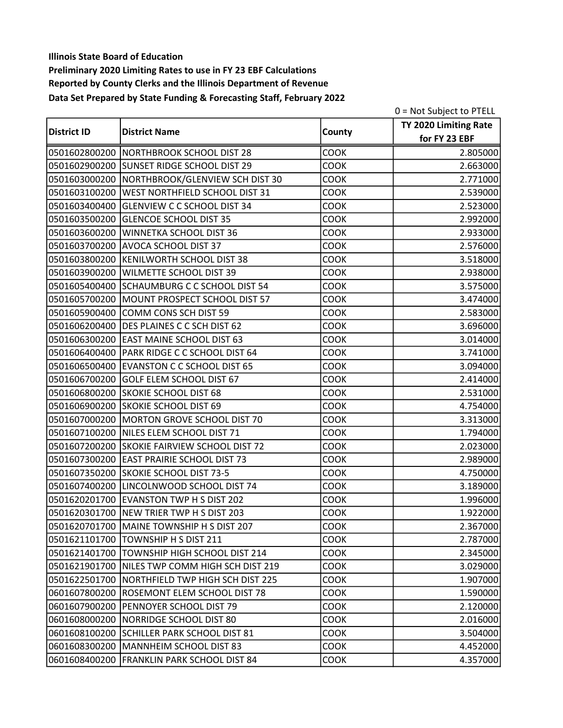|                    |                                                |             | 0 = Not Subject to PTELL |
|--------------------|------------------------------------------------|-------------|--------------------------|
|                    |                                                |             | TY 2020 Limiting Rate    |
| <b>District ID</b> | <b>District Name</b>                           | County      | for FY 23 EBF            |
|                    | 0501602800200 NORTHBROOK SCHOOL DIST 28        | COOK        | 2.805000                 |
|                    | 0501602900200 SUNSET RIDGE SCHOOL DIST 29      | COOK        | 2.663000                 |
|                    | 0501603000200 NORTHBROOK/GLENVIEW SCH DIST 30  | <b>COOK</b> | 2.771000                 |
|                    | 0501603100200 WEST NORTHFIELD SCHOOL DIST 31   | COOK        | 2.539000                 |
|                    | 0501603400400 GLENVIEW C C SCHOOL DIST 34      | <b>COOK</b> | 2.523000                 |
|                    | 0501603500200 GLENCOE SCHOOL DIST 35           | <b>COOK</b> | 2.992000                 |
|                    | 0501603600200 WINNETKA SCHOOL DIST 36          | <b>COOK</b> | 2.933000                 |
|                    | 0501603700200 AVOCA SCHOOL DIST 37             | COOK        | 2.576000                 |
|                    | 0501603800200 KENILWORTH SCHOOL DIST 38        | COOK        | 3.518000                 |
| 0501603900200      | <b>WILMETTE SCHOOL DIST 39</b>                 | <b>COOK</b> | 2.938000                 |
|                    | 0501605400400 SCHAUMBURG C C SCHOOL DIST 54    | <b>COOK</b> | 3.575000                 |
|                    | 0501605700200 MOUNT PROSPECT SCHOOL DIST 57    | <b>COOK</b> | 3.474000                 |
|                    | 0501605900400 COMM CONS SCH DIST 59            | COOK        | 2.583000                 |
|                    | 0501606200400 DES PLAINES C C SCH DIST 62      | COOK        | 3.696000                 |
|                    | 0501606300200 EAST MAINE SCHOOL DIST 63        | <b>COOK</b> | 3.014000                 |
|                    | 0501606400400 PARK RIDGE C C SCHOOL DIST 64    | <b>COOK</b> | 3.741000                 |
|                    | 0501606500400 EVANSTON C C SCHOOL DIST 65      | <b>COOK</b> | 3.094000                 |
|                    | 0501606700200 GOLF ELEM SCHOOL DIST 67         | COOK        | 2.414000                 |
|                    | 0501606800200 SKOKIE SCHOOL DIST 68            | COOK        | 2.531000                 |
|                    | 0501606900200 SKOKIE SCHOOL DIST 69            | COOK        | 4.754000                 |
|                    | 0501607000200 MORTON GROVE SCHOOL DIST 70      | COOK        | 3.313000                 |
|                    | 0501607100200 NILES ELEM SCHOOL DIST 71        | COOK        | 1.794000                 |
|                    | 0501607200200 SKOKIE FAIRVIEW SCHOOL DIST 72   | COOK        | 2.023000                 |
| 0501607300200      | <b>EAST PRAIRIE SCHOOL DIST 73</b>             | <b>COOK</b> | 2.989000                 |
|                    | 0501607350200 SKOKIE SCHOOL DIST 73-5          | COOK        | 4.750000                 |
|                    | 0501607400200 LINCOLNWOOD SCHOOL DIST 74       | COOK        | 3.189000                 |
|                    | 0501620201700 EVANSTON TWP H S DIST 202        | COOK        | 1.996000                 |
|                    | 0501620301700 NEW TRIER TWP H S DIST 203       | <b>COOK</b> | 1.922000                 |
|                    | 0501620701700 MAINE TOWNSHIP H S DIST 207      | <b>COOK</b> | 2.367000                 |
|                    | 0501621101700 TOWNSHIP H S DIST 211            | <b>COOK</b> | 2.787000                 |
|                    | 0501621401700 TOWNSHIP HIGH SCHOOL DIST 214    | <b>COOK</b> | 2.345000                 |
|                    | 0501621901700 NILES TWP COMM HIGH SCH DIST 219 | <b>COOK</b> | 3.029000                 |
|                    | 0501622501700 NORTHFIELD TWP HIGH SCH DIST 225 | <b>COOK</b> | 1.907000                 |
|                    | 0601607800200 ROSEMONT ELEM SCHOOL DIST 78     | <b>COOK</b> | 1.590000                 |
|                    | 0601607900200 PENNOYER SCHOOL DIST 79          | COOK        | 2.120000                 |
|                    | 0601608000200   NORRIDGE SCHOOL DIST 80        | <b>COOK</b> | 2.016000                 |
|                    | 0601608100200 SCHILLER PARK SCHOOL DIST 81     | <b>COOK</b> | 3.504000                 |
|                    | 0601608300200   MANNHEIM SCHOOL DIST 83        | <b>COOK</b> | 4.452000                 |
|                    | 0601608400200 FRANKLIN PARK SCHOOL DIST 84     | <b>COOK</b> | 4.357000                 |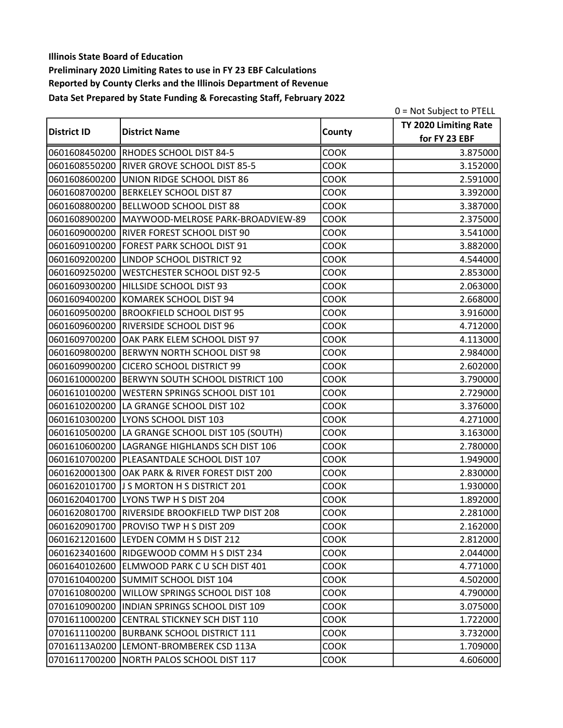|                    |                                                  |             | 0 = Not Subject to PTELL |
|--------------------|--------------------------------------------------|-------------|--------------------------|
|                    |                                                  |             | TY 2020 Limiting Rate    |
| <b>District ID</b> | <b>District Name</b>                             | County      | for FY 23 EBF            |
|                    | 0601608450200 RHODES SCHOOL DIST 84-5            | COOK        | 3.875000                 |
|                    | 0601608550200 RIVER GROVE SCHOOL DIST 85-5       | <b>COOK</b> | 3.152000                 |
|                    | 0601608600200 UNION RIDGE SCHOOL DIST 86         | <b>COOK</b> | 2.591000                 |
|                    | 0601608700200 BERKELEY SCHOOL DIST 87            | COOK        | 3.392000                 |
| 0601608800200      | BELLWOOD SCHOOL DIST 88                          | <b>COOK</b> | 3.387000                 |
|                    | 0601608900200 MAYWOOD-MELROSE PARK-BROADVIEW-89  | <b>COOK</b> | 2.375000                 |
|                    | 0601609000200 RIVER FOREST SCHOOL DIST 90        | <b>COOK</b> | 3.541000                 |
|                    | 0601609100200 FOREST PARK SCHOOL DIST 91         | COOK        | 3.882000                 |
|                    | 0601609200200 LINDOP SCHOOL DISTRICT 92          | <b>COOK</b> | 4.544000                 |
| 0601609250200      | <b>WESTCHESTER SCHOOL DIST 92-5</b>              | <b>COOK</b> | 2.853000                 |
|                    | 0601609300200 HILLSIDE SCHOOL DIST 93            | COOK        | 2.063000                 |
|                    | 0601609400200 KOMAREK SCHOOL DIST 94             | <b>COOK</b> | 2.668000                 |
|                    | 0601609500200 BROOKFIELD SCHOOL DIST 95          | COOK        | 3.916000                 |
| 0601609600200      | <b>RIVERSIDE SCHOOL DIST 96</b>                  | COOK        | 4.712000                 |
| 0601609700200      | OAK PARK ELEM SCHOOL DIST 97                     | <b>COOK</b> | 4.113000                 |
|                    | 0601609800200 BERWYN NORTH SCHOOL DIST 98        | <b>COOK</b> | 2.984000                 |
|                    | 0601609900200 CICERO SCHOOL DISTRICT 99          | <b>COOK</b> | 2.602000                 |
|                    | 0601610000200   BERWYN SOUTH SCHOOL DISTRICT 100 | COOK        | 3.790000                 |
| 0601610100200      | <b>WESTERN SPRINGS SCHOOL DIST 101</b>           | COOK        | 2.729000                 |
| 0601610200200      | LA GRANGE SCHOOL DIST 102                        | COOK        | 3.376000                 |
|                    | 0601610300200 LYONS SCHOOL DIST 103              | COOK        | 4.271000                 |
|                    | 0601610500200 LA GRANGE SCHOOL DIST 105 (SOUTH)  | COOK        | 3.163000                 |
|                    | 0601610600200 LAGRANGE HIGHLANDS SCH DIST 106    | COOK        | 2.780000                 |
| 0601610700200      | PLEASANTDALE SCHOOL DIST 107                     | <b>COOK</b> | 1.949000                 |
|                    | 0601620001300 OAK PARK & RIVER FOREST DIST 200   | <b>COOK</b> | 2.830000                 |
|                    | 0601620101700 J S MORTON H S DISTRICT 201        | COOK        | 1.930000                 |
|                    | 0601620401700 LYONS TWP H S DIST 204             | COOK        | 1.892000                 |
|                    | 0601620801700 RIVERSIDE BROOKFIELD TWP DIST 208  | <b>COOK</b> | 2.281000                 |
|                    | 0601620901700 PROVISO TWP H S DIST 209           | <b>COOK</b> | 2.162000                 |
|                    | 0601621201600 LEYDEN COMM H S DIST 212           | <b>COOK</b> | 2.812000                 |
|                    | 0601623401600 RIDGEWOOD COMM H S DIST 234        | <b>COOK</b> | 2.044000                 |
| 0601640102600      | ELMWOOD PARK C U SCH DIST 401                    | <b>COOK</b> | 4.771000                 |
|                    | 0701610400200 SUMMIT SCHOOL DIST 104             | <b>COOK</b> | 4.502000                 |
|                    | 0701610800200 WILLOW SPRINGS SCHOOL DIST 108     | <b>COOK</b> | 4.790000                 |
|                    | 0701610900200  INDIAN SPRINGS SCHOOL DIST 109    | COOK        | 3.075000                 |
|                    | 0701611000200 CENTRAL STICKNEY SCH DIST 110      | <b>COOK</b> | 1.722000                 |
|                    | 0701611100200 BURBANK SCHOOL DISTRICT 111        | <b>COOK</b> | 3.732000                 |
|                    | 07016113A0200 LEMONT-BROMBEREK CSD 113A          | <b>COOK</b> | 1.709000                 |
| 0701611700200      | NORTH PALOS SCHOOL DIST 117                      | <b>COOK</b> | 4.606000                 |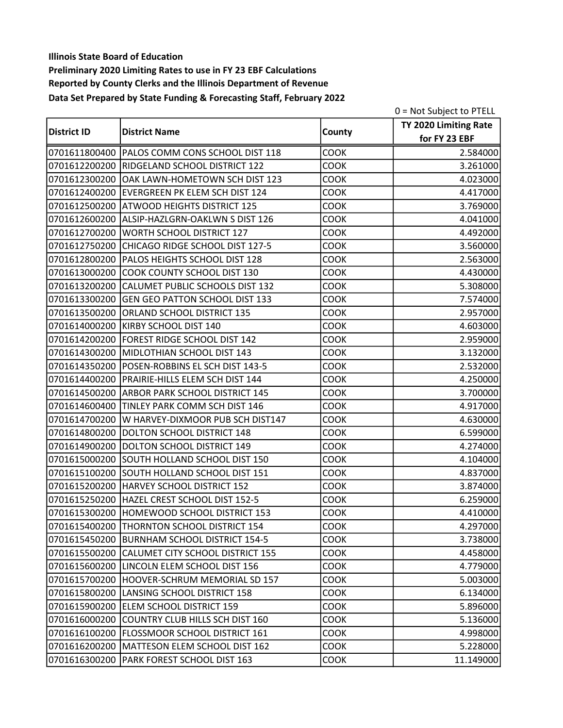|                    |                                                |             | 0 = Not Subject to PTELL |
|--------------------|------------------------------------------------|-------------|--------------------------|
|                    |                                                |             | TY 2020 Limiting Rate    |
| <b>District ID</b> | <b>District Name</b>                           | County      | for FY 23 EBF            |
|                    | 0701611800400 PALOS COMM CONS SCHOOL DIST 118  | COOK        | 2.584000                 |
|                    | 0701612200200 RIDGELAND SCHOOL DISTRICT 122    | <b>COOK</b> | 3.261000                 |
| 0701612300200      | OAK LAWN-HOMETOWN SCH DIST 123                 | <b>COOK</b> | 4.023000                 |
|                    | 0701612400200 EVERGREEN PK ELEM SCH DIST 124   | COOK        | 4.417000                 |
|                    | 0701612500200 ATWOOD HEIGHTS DISTRICT 125      | <b>COOK</b> | 3.769000                 |
|                    | 0701612600200 ALSIP-HAZLGRN-OAKLWN S DIST 126  | <b>COOK</b> | 4.041000                 |
| 0701612700200      | WORTH SCHOOL DISTRICT 127                      | <b>COOK</b> | 4.492000                 |
| 0701612750200      | CHICAGO RIDGE SCHOOL DIST 127-5                | COOK        | 3.560000                 |
| 0701612800200      | PALOS HEIGHTS SCHOOL DIST 128                  | <b>COOK</b> | 2.563000                 |
| 0701613000200      | COOK COUNTY SCHOOL DIST 130                    | <b>COOK</b> | 4.430000                 |
|                    | 0701613200200 CALUMET PUBLIC SCHOOLS DIST 132  | <b>COOK</b> | 5.308000                 |
|                    | 0701613300200 GEN GEO PATTON SCHOOL DIST 133   | <b>COOK</b> | 7.574000                 |
| 0701613500200      | <b>ORLAND SCHOOL DISTRICT 135</b>              | COOK        | 2.957000                 |
| 0701614000200      | KIRBY SCHOOL DIST 140                          | COOK        | 4.603000                 |
| 0701614200200      | FOREST RIDGE SCHOOL DIST 142                   | COOK        | 2.959000                 |
|                    | 0701614300200 MIDLOTHIAN SCHOOL DIST 143       | <b>COOK</b> | 3.132000                 |
|                    | 0701614350200 POSEN-ROBBINS EL SCH DIST 143-5  | <b>COOK</b> | 2.532000                 |
|                    | 0701614400200 PRAIRIE-HILLS ELEM SCH DIST 144  | <b>COOK</b> | 4.250000                 |
| 0701614500200      | <b>ARBOR PARK SCHOOL DISTRICT 145</b>          | COOK        | 3.700000                 |
| 0701614600400      | TINLEY PARK COMM SCH DIST 146                  | COOK        | 4.917000                 |
| 0701614700200      | W HARVEY-DIXMOOR PUB SCH DIST147               | COOK        | 4.630000                 |
| 0701614800200      | DOLTON SCHOOL DISTRICT 148                     | <b>COOK</b> | 6.599000                 |
| 0701614900200      | DOLTON SCHOOL DISTRICT 149                     | COOK        | 4.274000                 |
| 0701615000200      | SOUTH HOLLAND SCHOOL DIST 150                  | <b>COOK</b> | 4.104000                 |
|                    | 0701615100200 SOUTH HOLLAND SCHOOL DIST 151    | COOK        | 4.837000                 |
|                    | 0701615200200 HARVEY SCHOOL DISTRICT 152       | COOK        | 3.874000                 |
|                    | 0701615250200 HAZEL CREST SCHOOL DIST 152-5    | COOK        | 6.259000                 |
|                    | 0701615300200 HOMEWOOD SCHOOL DISTRICT 153     | <b>COOK</b> | 4.410000                 |
|                    | 0701615400200 THORNTON SCHOOL DISTRICT 154     | <b>COOK</b> | 4.297000                 |
|                    | 0701615450200 BURNHAM SCHOOL DISTRICT 154-5    | <b>COOK</b> | 3.738000                 |
|                    | 0701615500200 CALUMET CITY SCHOOL DISTRICT 155 | <b>COOK</b> | 4.458000                 |
| 0701615600200      | LINCOLN ELEM SCHOOL DIST 156                   | <b>COOK</b> | 4.779000                 |
| 0701615700200      | HOOVER-SCHRUM MEMORIAL SD 157                  | <b>COOK</b> | 5.003000                 |
| 0701615800200      | LANSING SCHOOL DISTRICT 158                    | <b>COOK</b> | 6.134000                 |
|                    | 0701615900200 ELEM SCHOOL DISTRICT 159         | <b>COOK</b> | 5.896000                 |
| 0701616000200      | COUNTRY CLUB HILLS SCH DIST 160                | <b>COOK</b> | 5.136000                 |
|                    | 0701616100200   FLOSSMOOR SCHOOL DISTRICT 161  | <b>COOK</b> | 4.998000                 |
|                    | 0701616200200   MATTESON ELEM SCHOOL DIST 162  | <b>COOK</b> | 5.228000                 |
| 0701616300200      | <b>PARK FOREST SCHOOL DIST 163</b>             | <b>COOK</b> | 11.149000                |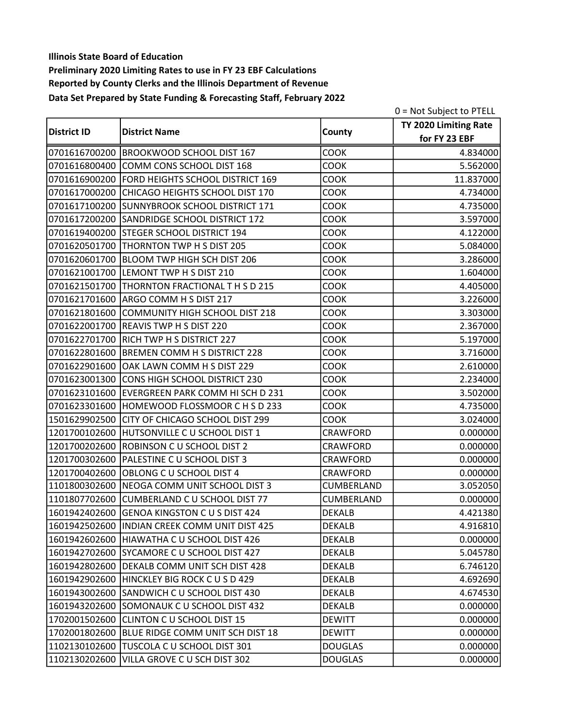|                    |                                                |                | 0 = Not Subject to PTELL |
|--------------------|------------------------------------------------|----------------|--------------------------|
|                    |                                                |                | TY 2020 Limiting Rate    |
| <b>District ID</b> | <b>District Name</b>                           | County         | for FY 23 EBF            |
|                    | 0701616700200 BROOKWOOD SCHOOL DIST 167        | COOK           | 4.834000                 |
|                    | 0701616800400 COMM CONS SCHOOL DIST 168        | COOK           | 5.562000                 |
|                    | 0701616900200 FORD HEIGHTS SCHOOL DISTRICT 169 | <b>COOK</b>    | 11.837000                |
|                    | 0701617000200 CHICAGO HEIGHTS SCHOOL DIST 170  | COOK           | 4.734000                 |
|                    | 0701617100200 SUNNYBROOK SCHOOL DISTRICT 171   | <b>COOK</b>    | 4.735000                 |
|                    | 0701617200200 SANDRIDGE SCHOOL DISTRICT 172    | <b>COOK</b>    | 3.597000                 |
|                    | 0701619400200 STEGER SCHOOL DISTRICT 194       | <b>COOK</b>    | 4.122000                 |
|                    | 0701620501700 THORNTON TWP H S DIST 205        | COOK           | 5.084000                 |
| 0701620601700      | <b>BLOOM TWP HIGH SCH DIST 206</b>             | COOK           | 3.286000                 |
| 0701621001700      | LEMONT TWP H S DIST 210                        | <b>COOK</b>    | 1.604000                 |
|                    | 0701621501700 THORNTON FRACTIONAL THSD 215     | <b>COOK</b>    | 4.405000                 |
|                    | 0701621701600 ARGO COMM H S DIST 217           | <b>COOK</b>    | 3.226000                 |
| 0701621801600      | COMMUNITY HIGH SCHOOL DIST 218                 | COOK           | 3.303000                 |
| 0701622001700      | <b>REAVIS TWP H S DIST 220</b>                 | COOK           | 2.367000                 |
| 0701622701700      | RICH TWP H S DISTRICT 227                      | <b>COOK</b>    | 5.197000                 |
|                    | 0701622801600 BREMEN COMM H S DISTRICT 228     | <b>COOK</b>    | 3.716000                 |
|                    | 0701622901600 OAK LAWN COMM H S DIST 229       | <b>COOK</b>    | 2.610000                 |
|                    | 0701623001300 CONS HIGH SCHOOL DISTRICT 230    | <b>COOK</b>    | 2.234000                 |
| 0701623101600      | EVERGREEN PARK COMM HI SCH D 231               | <b>COOK</b>    | 3.502000                 |
| 0701623301600      | HOMEWOOD FLOSSMOOR C H S D 233                 | COOK           | 4.735000                 |
| 1501629902500      | CITY OF CHICAGO SCHOOL DIST 299                | <b>COOK</b>    | 3.024000                 |
| 1201700102600      | HUTSONVILLE C U SCHOOL DIST 1                  | CRAWFORD       | 0.000000                 |
| 1201700202600      | ROBINSON C U SCHOOL DIST 2                     | CRAWFORD       | 0.000000                 |
| 1201700302600      | PALESTINE C U SCHOOL DIST 3                    | CRAWFORD       | 0.000000                 |
| 1201700402600      | <b>OBLONG C U SCHOOL DIST 4</b>                | CRAWFORD       | 0.000000                 |
|                    | 1101800302600 NEOGA COMM UNIT SCHOOL DIST 3    | CUMBERLAND     | 3.052050                 |
| 1101807702600      | CUMBERLAND C U SCHOOL DIST 77                  | CUMBERLAND     | 0.000000                 |
|                    | 1601942402600 GENOA KINGSTON C U S DIST 424    | <b>DEKALB</b>  | 4.421380                 |
|                    | 1601942502600 IINDIAN CREEK COMM UNIT DIST 425 | <b>DEKALB</b>  | 4.916810                 |
|                    | 1601942602600 HIAWATHA C U SCHOOL DIST 426     | <b>DEKALB</b>  | 0.000000                 |
|                    | 1601942702600 SYCAMORE C U SCHOOL DIST 427     | DEKALB         | 5.045780                 |
| 1601942802600      | DEKALB COMM UNIT SCH DIST 428                  | <b>DEKALB</b>  | 6.746120                 |
| 1601942902600      | HINCKLEY BIG ROCK C U S D 429                  | <b>DEKALB</b>  | 4.692690                 |
|                    | 1601943002600 SANDWICH C U SCHOOL DIST 430     | <b>DEKALB</b>  | 4.674530                 |
|                    | 1601943202600 SOMONAUK C U SCHOOL DIST 432     | <b>DEKALB</b>  | 0.000000                 |
| 1702001502600      | CLINTON C U SCHOOL DIST 15                     | <b>DEWITT</b>  | 0.000000                 |
|                    | 1702001802600 BLUE RIDGE COMM UNIT SCH DIST 18 | <b>DEWITT</b>  | 0.000000                 |
| 1102130102600      | TUSCOLA C U SCHOOL DIST 301                    | <b>DOUGLAS</b> | 0.000000                 |
| 1102130202600      | VILLA GROVE C U SCH DIST 302                   | <b>DOUGLAS</b> | 0.000000                 |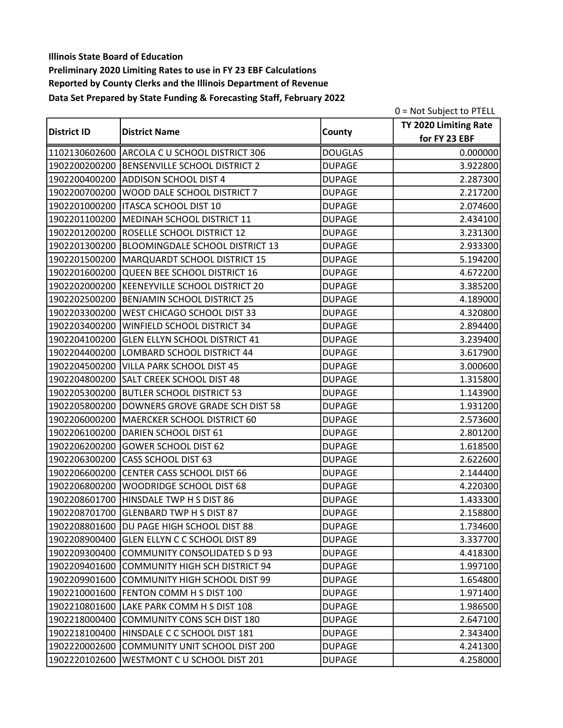|                    |                                               |                | 0 = Not Subject to PTELL |
|--------------------|-----------------------------------------------|----------------|--------------------------|
|                    |                                               |                | TY 2020 Limiting Rate    |
| <b>District ID</b> | <b>District Name</b>                          | County         | for FY 23 EBF            |
|                    | 1102130602600 ARCOLA C U SCHOOL DISTRICT 306  | <b>DOUGLAS</b> | 0.000000                 |
|                    | 1902200200200 BENSENVILLE SCHOOL DISTRICT 2   | <b>DUPAGE</b>  | 3.922800                 |
|                    | 1902200400200 ADDISON SCHOOL DIST 4           | <b>DUPAGE</b>  | 2.287300                 |
|                    | 1902200700200   WOOD DALE SCHOOL DISTRICT 7   | <b>DUPAGE</b>  | 2.217200                 |
|                    | 1902201000200   ITASCA SCHOOL DIST 10         | <b>DUPAGE</b>  | 2.074600                 |
|                    | 1902201100200 MEDINAH SCHOOL DISTRICT 11      | <b>DUPAGE</b>  | 2.434100                 |
|                    | 1902201200200 ROSELLE SCHOOL DISTRICT 12      | <b>DUPAGE</b>  | 3.231300                 |
|                    | 1902201300200 BLOOMINGDALE SCHOOL DISTRICT 13 | <b>DUPAGE</b>  | 2.933300                 |
|                    | 1902201500200   MARQUARDT SCHOOL DISTRICT 15  | <b>DUPAGE</b>  | 5.194200                 |
| 1902201600200      | QUEEN BEE SCHOOL DISTRICT 16                  | <b>DUPAGE</b>  | 4.672200                 |
|                    | 1902202000200 KEENEYVILLE SCHOOL DISTRICT 20  | <b>DUPAGE</b>  | 3.385200                 |
|                    | 1902202500200 BENJAMIN SCHOOL DISTRICT 25     | <b>DUPAGE</b>  | 4.189000                 |
| 1902203300200      | WEST CHICAGO SCHOOL DIST 33                   | <b>DUPAGE</b>  | 4.320800                 |
| 1902203400200      | <b>WINFIELD SCHOOL DISTRICT 34</b>            | <b>DUPAGE</b>  | 2.894400                 |
| 1902204100200      | <b>GLEN ELLYN SCHOOL DISTRICT 41</b>          | <b>DUPAGE</b>  | 3.239400                 |
|                    | 1902204400200 LOMBARD SCHOOL DISTRICT 44      | <b>DUPAGE</b>  | 3.617900                 |
|                    | 1902204500200 VILLA PARK SCHOOL DIST 45       | <b>DUPAGE</b>  | 3.000600                 |
|                    | 1902204800200 SALT CREEK SCHOOL DIST 48       | <b>DUPAGE</b>  | 1.315800                 |
| 1902205300200      | <b>BUTLER SCHOOL DISTRICT 53</b>              | <b>DUPAGE</b>  | 1.143900                 |
| 1902205800200      | DOWNERS GROVE GRADE SCH DIST 58               | <b>DUPAGE</b>  | 1.931200                 |
|                    | 1902206000200   MAERCKER SCHOOL DISTRICT 60   | <b>DUPAGE</b>  | 2.573600                 |
|                    | 1902206100200 DARIEN SCHOOL DIST 61           | <b>DUPAGE</b>  | 2.801200                 |
| 1902206200200      | GOWER SCHOOL DIST 62                          | <b>DUPAGE</b>  | 1.618500                 |
| 1902206300200      | <b>CASS SCHOOL DIST 63</b>                    | <b>DUPAGE</b>  | 2.622600                 |
| 1902206600200      | CENTER CASS SCHOOL DIST 66                    | <b>DUPAGE</b>  | 2.144400                 |
| 1902206800200      | WOODRIDGE SCHOOL DIST 68                      | <b>DUPAGE</b>  | 4.220300                 |
| 1902208601700      | HINSDALE TWP H S DIST 86                      | <b>DUPAGE</b>  | 1.433300                 |
|                    | 1902208701700 GLENBARD TWP H S DIST 87        | <b>DUPAGE</b>  | 2.158800                 |
|                    | 1902208801600   DU PAGE HIGH SCHOOL DIST 88   | <b>DUPAGE</b>  | 1.734600                 |
|                    | 1902208900400 GLEN ELLYN C C SCHOOL DIST 89   | <b>DUPAGE</b>  | 3.337700                 |
|                    | 1902209300400 COMMUNITY CONSOLIDATED S D 93   | <b>DUPAGE</b>  | 4.418300                 |
| 1902209401600      | COMMUNITY HIGH SCH DISTRICT 94                | <b>DUPAGE</b>  | 1.997100                 |
| 1902209901600      | COMMUNITY HIGH SCHOOL DIST 99                 | <b>DUPAGE</b>  | 1.654800                 |
|                    | 1902210001600 FENTON COMM H S DIST 100        | <b>DUPAGE</b>  | 1.971400                 |
| 1902210801600      | LAKE PARK COMM H S DIST 108                   | <b>DUPAGE</b>  | 1.986500                 |
| 1902218000400      | COMMUNITY CONS SCH DIST 180                   | <b>DUPAGE</b>  | 2.647100                 |
|                    | 1902218100400 HINSDALE C C SCHOOL DIST 181    | <b>DUPAGE</b>  | 2.343400                 |
| 1902220002600      | COMMUNITY UNIT SCHOOL DIST 200                | <b>DUPAGE</b>  | 4.241300                 |
| 1902220102600      | WESTMONT C U SCHOOL DIST 201                  | <b>DUPAGE</b>  | 4.258000                 |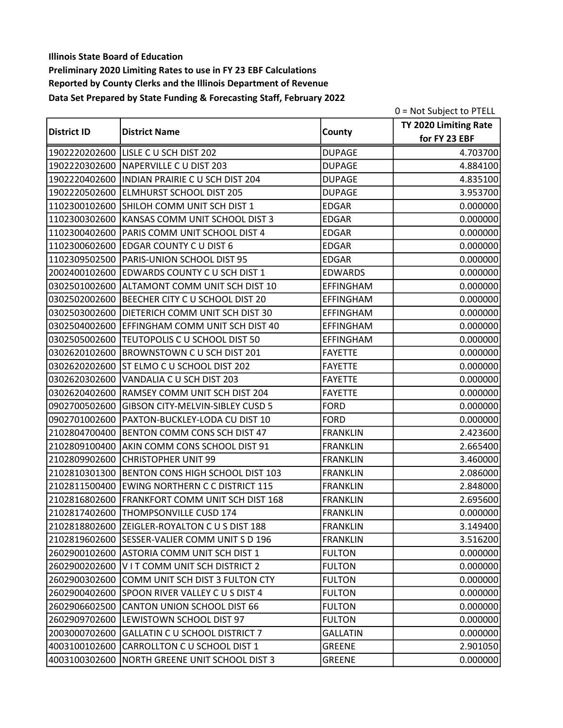|                    |                                                 |                  | 0 = Not Subject to PTELL |
|--------------------|-------------------------------------------------|------------------|--------------------------|
|                    |                                                 |                  | TY 2020 Limiting Rate    |
| <b>District ID</b> | <b>District Name</b>                            | County           | for FY 23 EBF            |
|                    | 1902220202600 LISLE C U SCH DIST 202            | <b>DUPAGE</b>    | 4.703700                 |
|                    | 1902220302600 NAPERVILLE C U DIST 203           | <b>DUPAGE</b>    | 4.884100                 |
|                    | 1902220402600   INDIAN PRAIRIE C U SCH DIST 204 | <b>DUPAGE</b>    | 4.835100                 |
|                    | 1902220502600 ELMHURST SCHOOL DIST 205          | <b>DUPAGE</b>    | 3.953700                 |
|                    | 1102300102600 SHILOH COMM UNIT SCH DIST 1       | <b>EDGAR</b>     | 0.000000                 |
|                    | 1102300302600 KANSAS COMM UNIT SCHOOL DIST 3    | <b>EDGAR</b>     | 0.000000                 |
|                    | 1102300402600 PARIS COMM UNIT SCHOOL DIST 4     | <b>EDGAR</b>     | 0.000000                 |
|                    | 1102300602600 EDGAR COUNTY C U DIST 6           | <b>EDGAR</b>     | 0.000000                 |
|                    | 1102309502500 PARIS-UNION SCHOOL DIST 95        | <b>EDGAR</b>     | 0.000000                 |
| 2002400102600      | EDWARDS COUNTY C U SCH DIST 1                   | <b>EDWARDS</b>   | 0.000000                 |
|                    | 0302501002600 ALTAMONT COMM UNIT SCH DIST 10    | EFFINGHAM        | 0.000000                 |
|                    | 0302502002600 BEECHER CITY C U SCHOOL DIST 20   | <b>EFFINGHAM</b> | 0.000000                 |
|                    | 0302503002600 DIETERICH COMM UNIT SCH DIST 30   | EFFINGHAM        | 0.000000                 |
| 0302504002600      | EFFINGHAM COMM UNIT SCH DIST 40                 | <b>EFFINGHAM</b> | 0.000000                 |
| 0302505002600      | TEUTOPOLIS C U SCHOOL DIST 50                   | <b>EFFINGHAM</b> | 0.000000                 |
|                    | 0302620102600 BROWNSTOWN C U SCH DIST 201       | <b>FAYETTE</b>   | 0.000000                 |
|                    | 0302620202600 ST ELMO C U SCHOOL DIST 202       | <b>FAYETTE</b>   | 0.000000                 |
|                    | 0302620302600 VANDALIA C U SCH DIST 203         | <b>FAYETTE</b>   | 0.000000                 |
| 0302620402600      | RAMSEY COMM UNIT SCH DIST 204                   | <b>FAYETTE</b>   | 0.000000                 |
| 0902700502600      | <b>GIBSON CITY-MELVIN-SIBLEY CUSD 5</b>         | <b>FORD</b>      | 0.000000                 |
| 0902701002600      | PAXTON-BUCKLEY-LODA CU DIST 10                  | <b>FORD</b>      | 0.000000                 |
|                    | 2102804700400 BENTON COMM CONS SCH DIST 47      | <b>FRANKLIN</b>  | 2.423600                 |
|                    | 2102809100400 AKIN COMM CONS SCHOOL DIST 91     | <b>FRANKLIN</b>  | 2.665400                 |
| 2102809902600      | <b>CHRISTOPHER UNIT 99</b>                      | <b>FRANKLIN</b>  | 3.460000                 |
|                    | 2102810301300 BENTON CONS HIGH SCHOOL DIST 103  | <b>FRANKLIN</b>  | 2.086000                 |
|                    | 2102811500400 EWING NORTHERN C C DISTRICT 115   | <b>FRANKLIN</b>  | 2.848000                 |
|                    | 2102816802600 FRANKFORT COMM UNIT SCH DIST 168  | <b>FRANKLIN</b>  | 2.695600                 |
|                    | 2102817402600 THOMPSONVILLE CUSD 174            | <b>FRANKLIN</b>  | 0.000000                 |
|                    | 2102818802600 ZEIGLER-ROYALTON C U S DIST 188   | <b>FRANKLIN</b>  | 3.149400                 |
|                    | 2102819602600 SESSER-VALIER COMM UNIT S D 196   | <b>FRANKLIN</b>  | 3.516200                 |
|                    | 2602900102600 ASTORIA COMM UNIT SCH DIST 1      | <b>FULTON</b>    | 0.000000                 |
| 2602900202600      | VIT COMM UNIT SCH DISTRICT 2                    | <b>FULTON</b>    | 0.000000                 |
| 2602900302600      | COMM UNIT SCH DIST 3 FULTON CTY                 | <b>FULTON</b>    | 0.000000                 |
|                    | 2602900402600 SPOON RIVER VALLEY C U S DIST 4   | <b>FULTON</b>    | 0.000000                 |
| 2602906602500      | <b>CANTON UNION SCHOOL DIST 66</b>              | <b>FULTON</b>    | 0.000000                 |
| 2602909702600      | LEWISTOWN SCHOOL DIST 97                        | <b>FULTON</b>    | 0.000000                 |
| 2003000702600      | <b>GALLATIN C U SCHOOL DISTRICT 7</b>           | <b>GALLATIN</b>  | 0.000000                 |
| 4003100102600      | CARROLLTON C U SCHOOL DIST 1                    | <b>GREENE</b>    | 2.901050                 |
| 4003100302600      | NORTH GREENE UNIT SCHOOL DIST 3                 | <b>GREENE</b>    | 0.000000                 |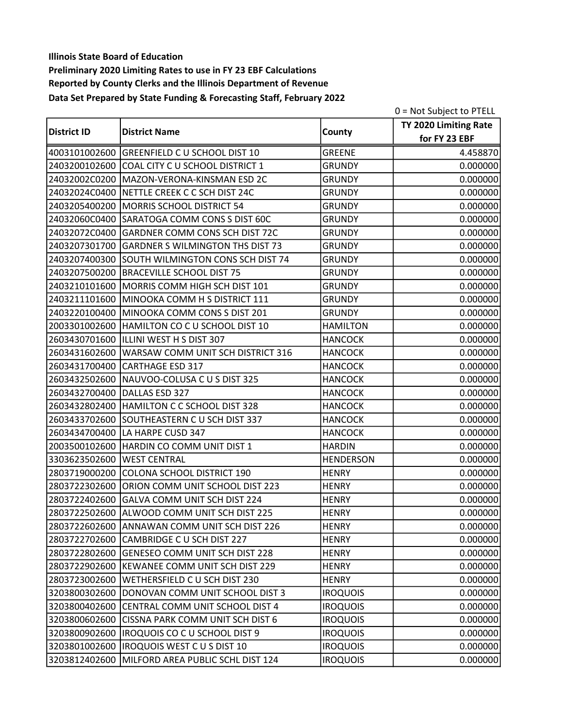|                    |                                                |                  | 0 = Not Subject to PTELL |
|--------------------|------------------------------------------------|------------------|--------------------------|
| <b>District ID</b> |                                                |                  | TY 2020 Limiting Rate    |
|                    | <b>District Name</b>                           | County           | for FY 23 EBF            |
|                    | 4003101002600 GREENFIELD C U SCHOOL DIST 10    | <b>GREENE</b>    | 4.458870                 |
|                    | 2403200102600 COAL CITY C U SCHOOL DISTRICT 1  | <b>GRUNDY</b>    | 0.000000                 |
|                    | 24032002C0200   MAZON-VERONA-KINSMAN ESD 2C    | <b>GRUNDY</b>    | 0.000000                 |
|                    | 24032024C0400 NETTLE CREEK C C SCH DIST 24C    | <b>GRUNDY</b>    | 0.000000                 |
| 2403205400200      | MORRIS SCHOOL DISTRICT 54                      | <b>GRUNDY</b>    | 0.000000                 |
|                    | 24032060C0400 SARATOGA COMM CONS S DIST 60C    | <b>GRUNDY</b>    | 0.000000                 |
|                    | 24032072C0400 GARDNER COMM CONS SCH DIST 72C   | <b>GRUNDY</b>    | 0.000000                 |
|                    | 2403207301700 GARDNER S WILMINGTON THS DIST 73 | <b>GRUNDY</b>    | 0.000000                 |
| 2403207400300      | SOUTH WILMINGTON CONS SCH DIST 74              | <b>GRUNDY</b>    | 0.000000                 |
| 2403207500200      | <b>BRACEVILLE SCHOOL DIST 75</b>               | <b>GRUNDY</b>    | 0.000000                 |
|                    | 2403210101600 MORRIS COMM HIGH SCH DIST 101    | <b>GRUNDY</b>    | 0.000000                 |
|                    | 2403211101600 MINOOKA COMM H S DISTRICT 111    | <b>GRUNDY</b>    | 0.000000                 |
|                    | 2403220100400 MINOOKA COMM CONS S DIST 201     | <b>GRUNDY</b>    | 0.000000                 |
| 2003301002600      | HAMILTON CO C U SCHOOL DIST 10                 | <b>HAMILTON</b>  | 0.000000                 |
| 2603430701600      | ILLLINI WEST H S DIST 307                      | <b>HANCOCK</b>   | 0.000000                 |
| 2603431602600      | WARSAW COMM UNIT SCH DISTRICT 316              | <b>HANCOCK</b>   | 0.000000                 |
| 2603431700400      | CARTHAGE ESD 317                               | <b>HANCOCK</b>   | 0.000000                 |
|                    | 2603432502600 NAUVOO-COLUSA C U S DIST 325     | <b>HANCOCK</b>   | 0.000000                 |
| 2603432700400      | DALLAS ESD 327                                 | <b>HANCOCK</b>   | 0.000000                 |
|                    | 2603432802400   HAMILTON C C SCHOOL DIST 328   | <b>HANCOCK</b>   | 0.000000                 |
| 2603433702600      | SOUTHEASTERN C U SCH DIST 337                  | <b>HANCOCK</b>   | 0.000000                 |
| 2603434700400      | LA HARPE CUSD 347                              | <b>HANCOCK</b>   | 0.000000                 |
|                    | 2003500102600 HARDIN CO COMM UNIT DIST 1       | <b>HARDIN</b>    | 0.000000                 |
| 3303623502600      | <b>WEST CENTRAL</b>                            | <b>HENDERSON</b> | 0.000000                 |
| 2803719000200      | <b>COLONA SCHOOL DISTRICT 190</b>              | <b>HENRY</b>     | 0.000000                 |
| 2803722302600      | ORION COMM UNIT SCHOOL DIST 223                | <b>HENRY</b>     | 0.000000                 |
| 2803722402600      | GALVA COMM UNIT SCH DIST 224                   | <b>HENRY</b>     | 0.000000                 |
|                    | 2803722502600 ALWOOD COMM UNIT SCH DIST 225    | <b>HENRY</b>     | 0.000000                 |
| 2803722602600      | ANNAWAN COMM UNIT SCH DIST 226                 | <b>HENRY</b>     | 0.000000                 |
|                    | 2803722702600 CAMBRIDGE C U SCH DIST 227       | <b>HENRY</b>     | 0.000000                 |
| 2803722802600      | <b>GENESEO COMM UNIT SCH DIST 228</b>          | <b>HENRY</b>     | 0.000000                 |
| 2803722902600      | KEWANEE COMM UNIT SCH DIST 229                 | <b>HENRY</b>     | 0.000000                 |
| 2803723002600      | WETHERSFIELD C U SCH DIST 230                  | <b>HENRY</b>     | 0.000000                 |
| 3203800302600      | DONOVAN COMM UNIT SCHOOL DIST 3                | <b>IROQUOIS</b>  | 0.000000                 |
| 3203800402600      | CENTRAL COMM UNIT SCHOOL DIST 4                | <b>IROQUOIS</b>  | 0.000000                 |
| 3203800602600      | CISSNA PARK COMM UNIT SCH DIST 6               | <b>IROQUOIS</b>  | 0.000000                 |
| 3203800902600      | IROQUOIS CO C U SCHOOL DIST 9                  | <b>IROQUOIS</b>  | 0.000000                 |
| 3203801002600      | IROQUOIS WEST C U S DIST 10                    | <b>IROQUOIS</b>  | 0.000000                 |
| 3203812402600      | MILFORD AREA PUBLIC SCHL DIST 124              | <b>IROQUOIS</b>  | 0.000000                 |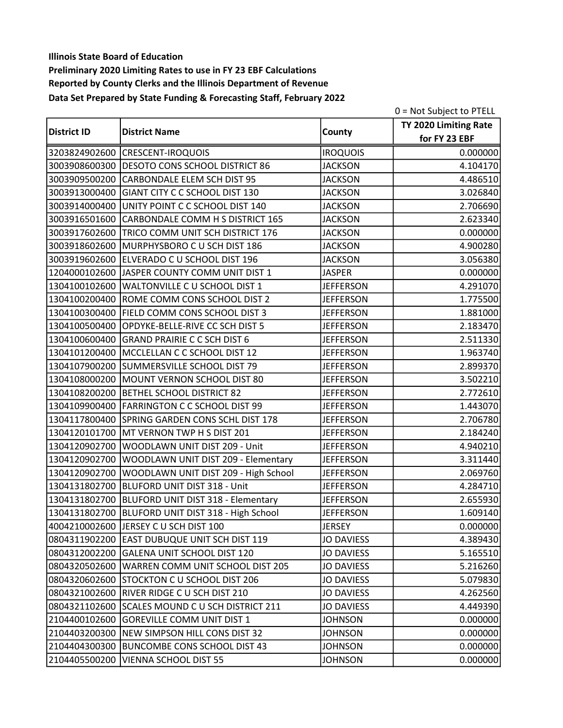|                    |                                                   |                   | 0 = Not Subject to PTELL |
|--------------------|---------------------------------------------------|-------------------|--------------------------|
|                    |                                                   |                   | TY 2020 Limiting Rate    |
| <b>District ID</b> | <b>District Name</b>                              | County            | for FY 23 EBF            |
|                    | 3203824902600 CRESCENT-IROQUOIS                   | <b>IROQUOIS</b>   | 0.000000                 |
|                    | 3003908600300 DESOTO CONS SCHOOL DISTRICT 86      | <b>JACKSON</b>    | 4.104170                 |
|                    | 3003909500200 CARBONDALE ELEM SCH DIST 95         | <b>JACKSON</b>    | 4.486510                 |
|                    | 3003913000400 GIANT CITY C C SCHOOL DIST 130      | <b>JACKSON</b>    | 3.026840                 |
|                    | 3003914000400 UNITY POINT C C SCHOOL DIST 140     | <b>JACKSON</b>    | 2.706690                 |
|                    | 3003916501600 CARBONDALE COMM H S DISTRICT 165    | <b>JACKSON</b>    | 2.623340                 |
| 3003917602600      | TRICO COMM UNIT SCH DISTRICT 176                  | <b>JACKSON</b>    | 0.000000                 |
|                    | 3003918602600 MURPHYSBORO C U SCH DIST 186        | <b>JACKSON</b>    | 4.900280                 |
|                    | 3003919602600 ELVERADO C U SCHOOL DIST 196        | <b>JACKSON</b>    | 3.056380                 |
| 1204000102600      | JASPER COUNTY COMM UNIT DIST 1                    | <b>JASPER</b>     | 0.000000                 |
| 1304100102600      | WALTONVILLE C U SCHOOL DIST 1                     | <b>JEFFERSON</b>  | 4.291070                 |
|                    | 1304100200400 ROME COMM CONS SCHOOL DIST 2        | <b>JEFFERSON</b>  | 1.775500                 |
|                    | 1304100300400 FIELD COMM CONS SCHOOL DIST 3       | <b>JEFFERSON</b>  | 1.881000                 |
| 1304100500400      | OPDYKE-BELLE-RIVE CC SCH DIST 5                   | <b>JEFFERSON</b>  | 2.183470                 |
| 1304100600400      | <b>GRAND PRAIRIE C C SCH DIST 6</b>               | <b>JEFFERSON</b>  | 2.511330                 |
|                    | 1304101200400 MCCLELLAN C C SCHOOL DIST 12        | <b>JEFFERSON</b>  | 1.963740                 |
|                    | 1304107900200 SUMMERSVILLE SCHOOL DIST 79         | <b>JEFFERSON</b>  | 2.899370                 |
|                    | 1304108000200 MOUNT VERNON SCHOOL DIST 80         | <b>JEFFERSON</b>  | 3.502210                 |
| 1304108200200      | BETHEL SCHOOL DISTRICT 82                         | <b>JEFFERSON</b>  | 2.772610                 |
|                    | 1304109900400 FARRINGTON C C SCHOOL DIST 99       | <b>JEFFERSON</b>  | 1.443070                 |
|                    | 1304117800400 SPRING GARDEN CONS SCHL DIST 178    | <b>JEFFERSON</b>  | 2.706780                 |
|                    | 1304120101700 MT VERNON TWP H S DIST 201          | <b>JEFFERSON</b>  | 2.184240                 |
| 1304120902700      | WOODLAWN UNIT DIST 209 - Unit                     | <b>JEFFERSON</b>  | 4.940210                 |
| 1304120902700      | WOODLAWN UNIT DIST 209 - Elementary               | <b>JEFFERSON</b>  | 3.311440                 |
| 1304120902700      | WOODLAWN UNIT DIST 209 - High School              | <b>JEFFERSON</b>  | 2.069760                 |
| 1304131802700      | BLUFORD UNIT DIST 318 - Unit                      | <b>JEFFERSON</b>  | 4.284710                 |
| 1304131802700      | BLUFORD UNIT DIST 318 - Elementary                | <b>JEFFERSON</b>  | 2.655930                 |
|                    | 1304131802700 BLUFORD UNIT DIST 318 - High School | <b>JEFFERSON</b>  | 1.609140                 |
|                    | 4004210002600 JERSEY C U SCH DIST 100             | <b>JERSEY</b>     | 0.000000                 |
|                    | 0804311902200 EAST DUBUQUE UNIT SCH DIST 119      | <b>JO DAVIESS</b> | 4.389430                 |
|                    | 0804312002200 GALENA UNIT SCHOOL DIST 120         | <b>JO DAVIESS</b> | 5.165510                 |
| 0804320502600      | WARREN COMM UNIT SCHOOL DIST 205                  | <b>JO DAVIESS</b> | 5.216260                 |
| 0804320602600      | STOCKTON C U SCHOOL DIST 206                      | <b>JO DAVIESS</b> | 5.079830                 |
|                    | 0804321002600 RIVER RIDGE C U SCH DIST 210        | <b>JO DAVIESS</b> | 4.262560                 |
| 0804321102600      | SCALES MOUND C U SCH DISTRICT 211                 | <b>JO DAVIESS</b> | 4.449390                 |
| 2104400102600      | GOREVILLE COMM UNIT DIST 1                        | <b>JOHNSON</b>    | 0.000000                 |
|                    | 2104403200300 NEW SIMPSON HILL CONS DIST 32       | <b>JOHNSON</b>    | 0.000000                 |
| 2104404300300      | BUNCOMBE CONS SCHOOL DIST 43                      | <b>JOHNSON</b>    | 0.000000                 |
| 2104405500200      | <b>VIENNA SCHOOL DIST 55</b>                      | <b>JOHNSON</b>    | 0.000000                 |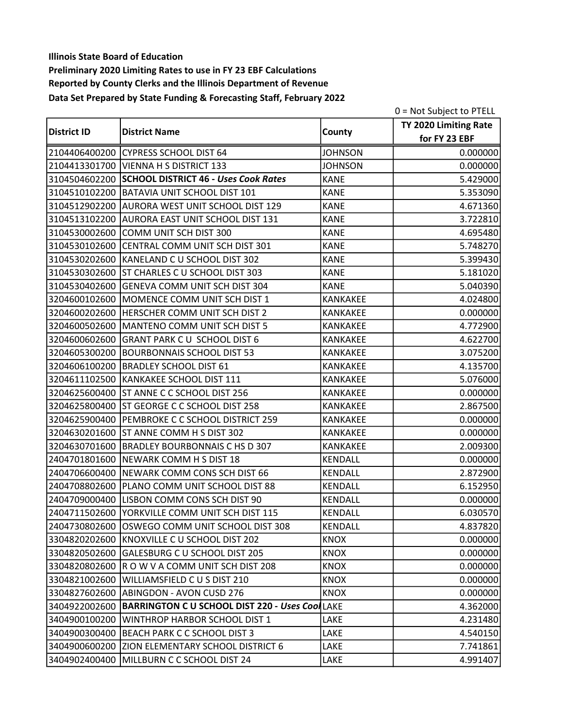|                    |                                                              |                 | 0 = Not Subject to PTELL |
|--------------------|--------------------------------------------------------------|-----------------|--------------------------|
|                    |                                                              |                 | TY 2020 Limiting Rate    |
| <b>District ID</b> | <b>District Name</b>                                         | County          | for FY 23 EBF            |
|                    | 2104406400200 CYPRESS SCHOOL DIST 64                         | <b>JOHNSON</b>  | 0.000000                 |
|                    | 2104413301700 VIENNA H S DISTRICT 133                        | <b>JOHNSON</b>  | 0.000000                 |
|                    | 3104504602200 SCHOOL DISTRICT 46 - Uses Cook Rates           | <b>KANE</b>     | 5.429000                 |
|                    | 3104510102200 BATAVIA UNIT SCHOOL DIST 101                   | <b>KANE</b>     | 5.353090                 |
|                    | 3104512902200 AURORA WEST UNIT SCHOOL DIST 129               | <b>KANE</b>     | 4.671360                 |
|                    | 3104513102200 AURORA EAST UNIT SCHOOL DIST 131               | <b>KANE</b>     | 3.722810                 |
|                    | 3104530002600 COMM UNIT SCH DIST 300                         | <b>KANE</b>     | 4.695480                 |
|                    | 3104530102600 CENTRAL COMM UNIT SCH DIST 301                 | <b>KANE</b>     | 5.748270                 |
|                    | 3104530202600 KANELAND C U SCHOOL DIST 302                   | <b>KANE</b>     | 5.399430                 |
|                    | 3104530302600 ST CHARLES C U SCHOOL DIST 303                 | <b>KANE</b>     | 5.181020                 |
|                    | 3104530402600 GENEVA COMM UNIT SCH DIST 304                  | <b>KANE</b>     | 5.040390                 |
|                    | 3204600102600 MOMENCE COMM UNIT SCH DIST 1                   | KANKAKEE        | 4.024800                 |
|                    | 3204600202600 HERSCHER COMM UNIT SCH DIST 2                  | KANKAKEE        | 0.000000                 |
|                    | 3204600502600 MANTENO COMM UNIT SCH DIST 5                   | <b>KANKAKEE</b> | 4.772900                 |
|                    | 3204600602600 GRANT PARK C U SCHOOL DIST 6                   | <b>KANKAKEE</b> | 4.622700                 |
|                    | 3204605300200 BOURBONNAIS SCHOOL DIST 53                     | <b>KANKAKEE</b> | 3.075200                 |
|                    | 3204606100200   BRADLEY SCHOOL DIST 61                       | KANKAKEE        | 4.135700                 |
|                    | 3204611102500 KANKAKEE SCHOOL DIST 111                       | KANKAKEE        | 5.076000                 |
|                    | 3204625600400 ST ANNE C C SCHOOL DIST 256                    | <b>KANKAKEE</b> | 0.000000                 |
|                    | 3204625800400 ST GEORGE C C SCHOOL DIST 258                  | KANKAKEE        | 2.867500                 |
|                    | 3204625900400 PEMBROKE C C SCHOOL DISTRICT 259               | <b>KANKAKEE</b> | 0.000000                 |
|                    | 3204630201600 ST ANNE COMM H S DIST 302                      | KANKAKEE        | 0.000000                 |
|                    | 3204630701600 BRADLEY BOURBONNAIS C HS D 307                 | KANKAKEE        | 2.009300                 |
|                    | 2404701801600 NEWARK COMM H S DIST 18                        | <b>KENDALL</b>  | 0.000000                 |
|                    | 2404706600400 NEWARK COMM CONS SCH DIST 66                   | KENDALL         | 2.872900                 |
|                    | 2404708802600 PLANO COMM UNIT SCHOOL DIST 88                 | <b>KENDALL</b>  | 6.152950                 |
|                    | 2404709000400 LISBON COMM CONS SCH DIST 90                   | <b>KENDALL</b>  | 0.000000                 |
|                    | 2404711502600 YORKVILLE COMM UNIT SCH DIST 115               | <b>KENDALL</b>  | 6.030570                 |
|                    | 2404730802600 OSWEGO COMM UNIT SCHOOL DIST 308               | <b>KENDALL</b>  | 4.837820                 |
|                    | 3304820202600 KNOXVILLE C U SCHOOL DIST 202                  | <b>KNOX</b>     | 0.000000                 |
|                    | 3304820502600 GALESBURG C U SCHOOL DIST 205                  | <b>KNOX</b>     | 0.000000                 |
| 3304820802600      | R O W V A COMM UNIT SCH DIST 208                             | <b>KNOX</b>     | 0.000000                 |
| 3304821002600      | WILLIAMSFIELD C U S DIST 210                                 | <b>KNOX</b>     | 0.000000                 |
|                    | 3304827602600 ABINGDON - AVON CUSD 276                       | <b>KNOX</b>     | 0.000000                 |
|                    | 3404922002600 BARRINGTON C U SCHOOL DIST 220 - Uses CoolLAKE |                 | 4.362000                 |
| 3404900100200      | WINTHROP HARBOR SCHOOL DIST 1                                | LAKE            | 4.231480                 |
|                    | 3404900300400 BEACH PARK C C SCHOOL DIST 3                   | LAKE            | 4.540150                 |
|                    | 3404900600200 ZION ELEMENTARY SCHOOL DISTRICT 6              | LAKE            | 7.741861                 |
|                    | 3404902400400 MILLBURN C C SCHOOL DIST 24                    | LAKE            | 4.991407                 |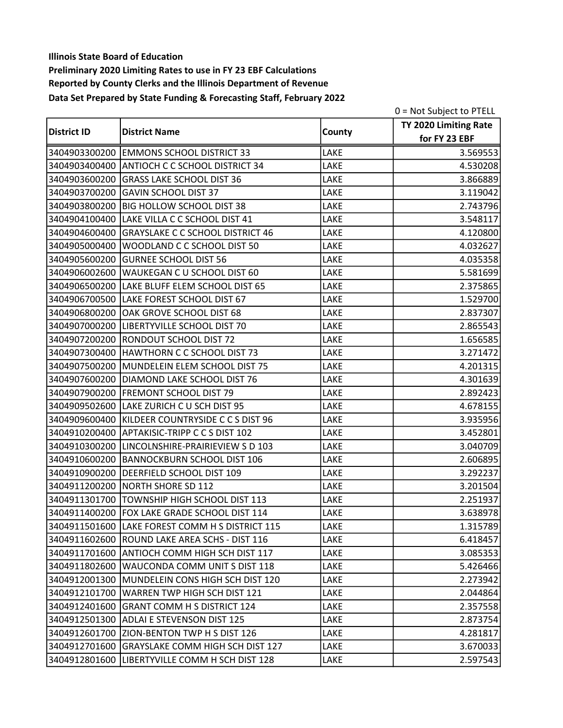|                    |                                                 |        | $0 = Not Subject to PTELL$ |
|--------------------|-------------------------------------------------|--------|----------------------------|
|                    |                                                 |        | TY 2020 Limiting Rate      |
| <b>District ID</b> | <b>District Name</b>                            | County | for FY 23 EBF              |
|                    | 3404903300200 EMMONS SCHOOL DISTRICT 33         | LAKE   | 3.569553                   |
|                    | 3404903400400 ANTIOCH C C SCHOOL DISTRICT 34    | LAKE   | 4.530208                   |
|                    | 3404903600200 GRASS LAKE SCHOOL DIST 36         | LAKE   | 3.866889                   |
|                    | 3404903700200 GAVIN SCHOOL DIST 37              | LAKE   | 3.119042                   |
| 3404903800200      | <b>BIG HOLLOW SCHOOL DIST 38</b>                | LAKE   | 2.743796                   |
|                    | 3404904100400 LAKE VILLA C C SCHOOL DIST 41     | LAKE   | 3.548117                   |
|                    | 3404904600400 GRAYSLAKE C C SCHOOL DISTRICT 46  | LAKE   | 4.120800                   |
|                    | 3404905000400 WOODLAND C C SCHOOL DIST 50       | LAKE   | 4.032627                   |
| 3404905600200      | <b>GURNEE SCHOOL DIST 56</b>                    | LAKE   | 4.035358                   |
| 3404906002600      | WAUKEGAN C U SCHOOL DIST 60                     | LAKE   | 5.581699                   |
|                    | 3404906500200 LAKE BLUFF ELEM SCHOOL DIST 65    | LAKE   | 2.375865                   |
|                    | 3404906700500 LAKE FOREST SCHOOL DIST 67        | LAKE   | 1.529700                   |
|                    | 3404906800200 OAK GROVE SCHOOL DIST 68          | LAKE   | 2.837307                   |
|                    | 3404907000200 LIBERTYVILLE SCHOOL DIST 70       | LAKE   | 2.865543                   |
|                    | 3404907200200 RONDOUT SCHOOL DIST 72            | LAKE   | 1.656585                   |
|                    | 3404907300400   HAWTHORN C C SCHOOL DIST 73     | LAKE   | 3.271472                   |
|                    | 3404907500200 MUNDELEIN ELEM SCHOOL DIST 75     | LAKE   | 4.201315                   |
|                    | 3404907600200   DIAMOND LAKE SCHOOL DIST 76     | LAKE   | 4.301639                   |
|                    | 3404907900200 FREMONT SCHOOL DIST 79            | LAKE   | 2.892423                   |
|                    | 3404909502600 LAKE ZURICH C U SCH DIST 95       | LAKE   | 4.678155                   |
|                    | 3404909600400 KILDEER COUNTRYSIDE C C S DIST 96 | LAKE   | 3.935956                   |
|                    | 3404910200400 APTAKISIC-TRIPP C C S DIST 102    | LAKE   | 3.452801                   |
|                    | 3404910300200 LINCOLNSHIRE-PRAIRIEVIEW S D 103  | LAKE   | 3.040709                   |
|                    | 3404910600200 BANNOCKBURN SCHOOL DIST 106       | LAKE   | 2.606895                   |
|                    | 3404910900200 DEERFIELD SCHOOL DIST 109         | LAKE   | 3.292237                   |
|                    | 3404911200200 NORTH SHORE SD 112                | LAKE   | 3.201504                   |
|                    | 3404911301700 TOWNSHIP HIGH SCHOOL DIST 113     | LAKE   | 2.251937                   |
|                    | 3404911400200 FOX LAKE GRADE SCHOOL DIST 114    | LAKE   | 3.638978                   |
|                    | 3404911501600 LAKE FOREST COMM H S DISTRICT 115 | LAKE   | 1.315789                   |
|                    | 3404911602600 ROUND LAKE AREA SCHS - DIST 116   | LAKE   | 6.418457                   |
|                    | 3404911701600 ANTIOCH COMM HIGH SCH DIST 117    | LAKE   | 3.085353                   |
| 3404911802600      | WAUCONDA COMM UNIT S DIST 118                   | LAKE   | 5.426466                   |
|                    | 3404912001300 MUNDELEIN CONS HIGH SCH DIST 120  | LAKE   | 2.273942                   |
| 3404912101700      | WARREN TWP HIGH SCH DIST 121                    | LAKE   | 2.044864                   |
|                    | 3404912401600 GRANT COMM H S DISTRICT 124       | LAKE   | 2.357558                   |
|                    | 3404912501300 ADLAI E STEVENSON DIST 125        | LAKE   | 2.873754                   |
|                    | 3404912601700 ZION-BENTON TWP H S DIST 126      | LAKE   | 4.281817                   |
| 3404912701600      | GRAYSLAKE COMM HIGH SCH DIST 127                | LAKE   | 3.670033                   |
|                    | 3404912801600  LIBERTYVILLE COMM H SCH DIST 128 | LAKE   | 2.597543                   |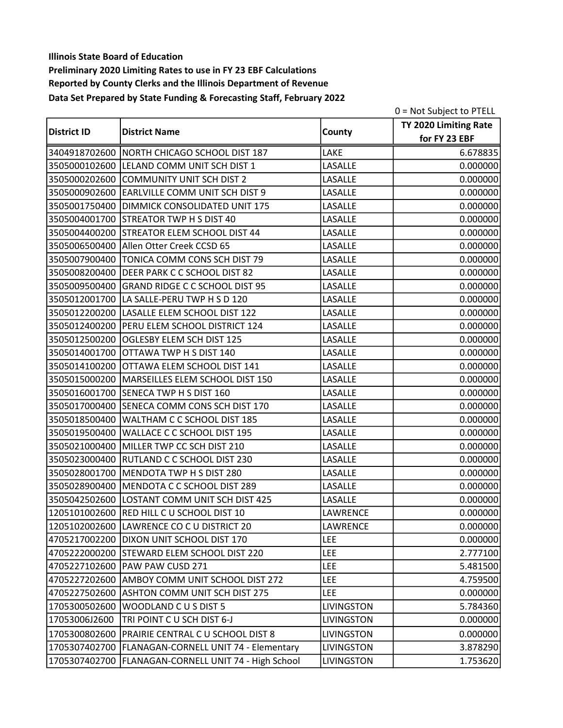|                    |                                                        |                   | 0 = Not Subject to PTELL |
|--------------------|--------------------------------------------------------|-------------------|--------------------------|
| <b>District ID</b> | <b>District Name</b>                                   |                   | TY 2020 Limiting Rate    |
|                    |                                                        | County            | for FY 23 EBF            |
|                    | 3404918702600 NORTH CHICAGO SCHOOL DIST 187            | LAKE              | 6.678835                 |
|                    | 3505000102600 LELAND COMM UNIT SCH DIST 1              | LASALLE           | 0.000000                 |
|                    | 3505000202600 COMMUNITY UNIT SCH DIST 2                | LASALLE           | 0.000000                 |
|                    | 3505000902600 EARLVILLE COMM UNIT SCH DIST 9           | LASALLE           | 0.000000                 |
|                    | 3505001750400 DIMMICK CONSOLIDATED UNIT 175            | LASALLE           | 0.000000                 |
|                    | 3505004001700 STREATOR TWP H S DIST 40                 | LASALLE           | 0.000000                 |
|                    | 3505004400200 STREATOR ELEM SCHOOL DIST 44             | LASALLE           | 0.000000                 |
|                    | 3505006500400 Allen Otter Creek CCSD 65                | LASALLE           | 0.000000                 |
|                    | 3505007900400 TONICA COMM CONS SCH DIST 79             | LASALLE           | 0.000000                 |
| 3505008200400      | DEER PARK C C SCHOOL DIST 82                           | LASALLE           | 0.000000                 |
|                    | 3505009500400 GRAND RIDGE C C SCHOOL DIST 95           | LASALLE           | 0.000000                 |
|                    | 3505012001700 LA SALLE-PERU TWP H S D 120              | LASALLE           | 0.000000                 |
|                    | 3505012200200 LASALLE ELEM SCHOOL DIST 122             | LASALLE           | 0.000000                 |
|                    | 3505012400200 PERU ELEM SCHOOL DISTRICT 124            | LASALLE           | 0.000000                 |
| 3505012500200      | OGLESBY ELEM SCH DIST 125                              | LASALLE           | 0.000000                 |
|                    | 3505014001700 OTTAWA TWP H S DIST 140                  | LASALLE           | 0.000000                 |
|                    | 3505014100200 OTTAWA ELEM SCHOOL DIST 141              | LASALLE           | 0.000000                 |
|                    | 3505015000200   MARSEILLES ELEM SCHOOL DIST 150        | LASALLE           | 0.000000                 |
| 3505016001700      | SENECA TWP H S DIST 160                                | LASALLE           | 0.000000                 |
| 3505017000400      | <b>SENECA COMM CONS SCH DIST 170</b>                   | LASALLE           | 0.000000                 |
| 3505018500400      | WALTHAM C C SCHOOL DIST 185                            | LASALLE           | 0.000000                 |
| 3505019500400      | <b>WALLACE C C SCHOOL DIST 195</b>                     | LASALLE           | 0.000000                 |
|                    | 3505021000400 MILLER TWP CC SCH DIST 210               | LASALLE           | 0.000000                 |
|                    | 3505023000400 RUTLAND C C SCHOOL DIST 230              | LASALLE           | 0.000000                 |
|                    | 3505028001700 MENDOTA TWP H S DIST 280                 | LASALLE           | 0.000000                 |
|                    | 3505028900400 MENDOTA C C SCHOOL DIST 289              | LASALLE           | 0.000000                 |
|                    | 3505042502600 LOSTANT COMM UNIT SCH DIST 425           | LASALLE           | 0.000000                 |
|                    | 1205101002600 RED HILL C U SCHOOL DIST 10              | <b>LAWRENCE</b>   | 0.000000                 |
|                    | 1205102002600 LAWRENCE CO C U DISTRICT 20              | LAWRENCE          | 0.000000                 |
|                    | 4705217002200 DIXON UNIT SCHOOL DIST 170               | <b>LEE</b>        | 0.000000                 |
|                    | 4705222000200 STEWARD ELEM SCHOOL DIST 220             | LEE               | 2.777100                 |
|                    | 4705227102600 PAW PAW CUSD 271                         | <b>LEE</b>        | 5.481500                 |
|                    | 4705227202600 AMBOY COMM UNIT SCHOOL DIST 272          | <b>LEE</b>        | 4.759500                 |
|                    | 4705227502600 ASHTON COMM UNIT SCH DIST 275            | <b>LEE</b>        | 0.000000                 |
| 1705300502600      | WOODLAND C U S DIST 5                                  | <b>LIVINGSTON</b> | 5.784360                 |
| 17053006J2600      | TRI POINT CU SCH DIST 6-J                              | LIVINGSTON        | 0.000000                 |
|                    | 1705300802600 PRAIRIE CENTRAL C U SCHOOL DIST 8        | LIVINGSTON        | 0.000000                 |
|                    | 1705307402700   FLANAGAN-CORNELL UNIT 74 - Elementary  | <b>LIVINGSTON</b> | 3.878290                 |
|                    | 1705307402700   FLANAGAN-CORNELL UNIT 74 - High School | <b>LIVINGSTON</b> | 1.753620                 |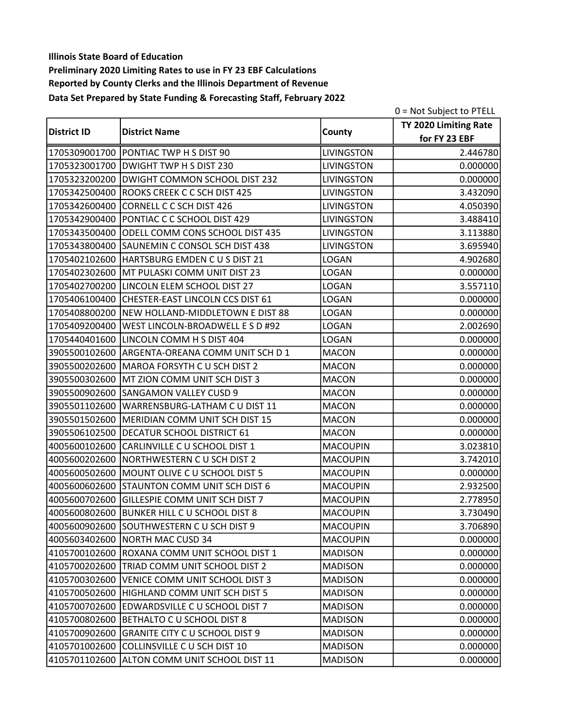|                    |                                                |                   | 0 = Not Subject to PTELL |
|--------------------|------------------------------------------------|-------------------|--------------------------|
| <b>District ID</b> |                                                |                   | TY 2020 Limiting Rate    |
|                    | <b>District Name</b>                           | County            | for FY 23 EBF            |
|                    | 1705309001700 PONTIAC TWP H S DIST 90          | <b>LIVINGSTON</b> | 2.446780                 |
|                    | 1705323001700 DWIGHT TWP H S DIST 230          | <b>LIVINGSTON</b> | 0.000000                 |
|                    | 1705323200200 DWIGHT COMMON SCHOOL DIST 232    | <b>LIVINGSTON</b> | 0.000000                 |
|                    | 1705342500400 ROOKS CREEK C C SCH DIST 425     | <b>LIVINGSTON</b> | 3.432090                 |
| 1705342600400      | CORNELL C C SCH DIST 426                       | <b>LIVINGSTON</b> | 4.050390                 |
|                    | 1705342900400 PONTIAC C C SCHOOL DIST 429      | <b>LIVINGSTON</b> | 3.488410                 |
|                    | 1705343500400 ODELL COMM CONS SCHOOL DIST 435  | <b>LIVINGSTON</b> | 3.113880                 |
|                    | 1705343800400 SAUNEMIN C CONSOL SCH DIST 438   | <b>LIVINGSTON</b> | 3.695940                 |
|                    | 1705402102600 HARTSBURG EMDEN C U S DIST 21    | <b>LOGAN</b>      | 4.902680                 |
| 1705402302600      | MT PULASKI COMM UNIT DIST 23                   | <b>LOGAN</b>      | 0.000000                 |
|                    | 1705402700200 LINCOLN ELEM SCHOOL DIST 27      | <b>LOGAN</b>      | 3.557110                 |
|                    | 1705406100400 CHESTER-EAST LINCOLN CCS DIST 61 | <b>LOGAN</b>      | 0.000000                 |
|                    | 1705408800200 NEW HOLLAND-MIDDLETOWN E DIST 88 | <b>LOGAN</b>      | 0.000000                 |
| 1705409200400      | WEST LINCOLN-BROADWELL E S D #92               | <b>LOGAN</b>      | 2.002690                 |
| 1705440401600      | LINCOLN COMM H S DIST 404                      | <b>LOGAN</b>      | 0.000000                 |
|                    | 3905500102600 ARGENTA-OREANA COMM UNIT SCH D 1 | <b>MACON</b>      | 0.000000                 |
| 3905500202600      | MAROA FORSYTH C U SCH DIST 2                   | <b>MACON</b>      | 0.000000                 |
|                    | 3905500302600 MT ZION COMM UNIT SCH DIST 3     | <b>MACON</b>      | 0.000000                 |
| 3905500902600      | SANGAMON VALLEY CUSD 9                         | <b>MACON</b>      | 0.000000                 |
| 3905501102600      | WARRENSBURG-LATHAM C U DIST 11                 | <b>MACON</b>      | 0.000000                 |
| 3905501502600      | MERIDIAN COMM UNIT SCH DIST 15                 | <b>MACON</b>      | 0.000000                 |
| 3905506102500      | DECATUR SCHOOL DISTRICT 61                     | <b>MACON</b>      | 0.000000                 |
| 4005600102600      | CARLINVILLE C U SCHOOL DIST 1                  | <b>MACOUPIN</b>   | 3.023810                 |
| 4005600202600      | NORTHWESTERN C U SCH DIST 2                    | <b>MACOUPIN</b>   | 3.742010                 |
|                    | 4005600502600 MOUNT OLIVE C U SCHOOL DIST 5    | <b>MACOUPIN</b>   | 0.000000                 |
|                    | 4005600602600 STAUNTON COMM UNIT SCH DIST 6    | <b>MACOUPIN</b>   | 2.932500                 |
| 4005600702600      | GILLESPIE COMM UNIT SCH DIST 7                 | MACOUPIN          | 2.778950                 |
|                    | 4005600802600 BUNKER HILL C U SCHOOL DIST 8    | <b>MACOUPIN</b>   | 3.730490                 |
|                    | 4005600902600 SOUTHWESTERN C U SCH DIST 9      | <b>MACOUPIN</b>   | 3.706890                 |
|                    | 4005603402600 NORTH MAC CUSD 34                | <b>MACOUPIN</b>   | 0.000000                 |
|                    | 4105700102600 ROXANA COMM UNIT SCHOOL DIST 1   | <b>MADISON</b>    | 0.000000                 |
| 4105700202600      | TRIAD COMM UNIT SCHOOL DIST 2                  | <b>MADISON</b>    | 0.000000                 |
| 4105700302600      | VENICE COMM UNIT SCHOOL DIST 3                 | <b>MADISON</b>    | 0.000000                 |
| 4105700502600      | HIGHLAND COMM UNIT SCH DIST 5                  | <b>MADISON</b>    | 0.000000                 |
| 4105700702600      | EDWARDSVILLE C U SCHOOL DIST 7                 | <b>MADISON</b>    | 0.000000                 |
| 4105700802600      | BETHALTO C U SCHOOL DIST 8                     | <b>MADISON</b>    | 0.000000                 |
| 4105700902600      | GRANITE CITY C U SCHOOL DIST 9                 | <b>MADISON</b>    | 0.000000                 |
| 4105701002600      | COLLINSVILLE C U SCH DIST 10                   | <b>MADISON</b>    | 0.000000                 |
|                    | 4105701102600 ALTON COMM UNIT SCHOOL DIST 11   | <b>MADISON</b>    | 0.000000                 |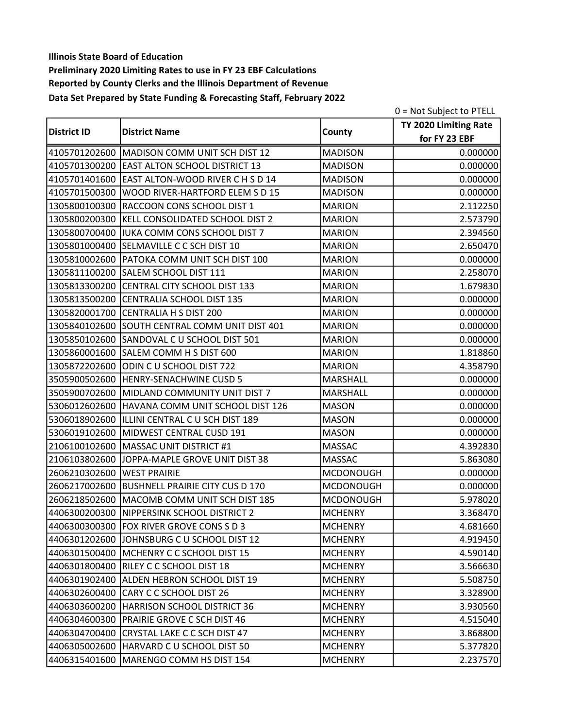|                    |                                                 |                  | 0 = Not Subject to PTELL |
|--------------------|-------------------------------------------------|------------------|--------------------------|
|                    |                                                 |                  | TY 2020 Limiting Rate    |
| <b>District ID</b> | <b>District Name</b>                            | County           | for FY 23 EBF            |
|                    | 4105701202600 MADISON COMM UNIT SCH DIST 12     | <b>MADISON</b>   | 0.000000                 |
|                    | 4105701300200 EAST ALTON SCHOOL DISTRICT 13     | <b>MADISON</b>   | 0.000000                 |
|                    | 4105701401600 EAST ALTON-WOOD RIVER C H S D 14  | <b>MADISON</b>   | 0.000000                 |
| 4105701500300      | WOOD RIVER-HARTFORD ELEM S D 15                 | <b>MADISON</b>   | 0.000000                 |
|                    | 1305800100300 RACCOON CONS SCHOOL DIST 1        | <b>MARION</b>    | 2.112250                 |
|                    | 1305800200300 KELL CONSOLIDATED SCHOOL DIST 2   | <b>MARION</b>    | 2.573790                 |
|                    | 1305800700400   IUKA COMM CONS SCHOOL DIST 7    | <b>MARION</b>    | 2.394560                 |
|                    | 1305801000400 SELMAVILLE C C SCH DIST 10        | <b>MARION</b>    | 2.650470                 |
|                    | 1305810002600 PATOKA COMM UNIT SCH DIST 100     | <b>MARION</b>    | 0.000000                 |
| 1305811100200      | SALEM SCHOOL DIST 111                           | <b>MARION</b>    | 2.258070                 |
|                    | 1305813300200 CENTRAL CITY SCHOOL DIST 133      | <b>MARION</b>    | 1.679830                 |
|                    | 1305813500200 CENTRALIA SCHOOL DIST 135         | <b>MARION</b>    | 0.000000                 |
|                    | 1305820001700 CENTRALIA H S DIST 200            | <b>MARION</b>    | 0.000000                 |
| 1305840102600      | SOUTH CENTRAL COMM UNIT DIST 401                | <b>MARION</b>    | 0.000000                 |
|                    | 1305850102600 SANDOVAL C U SCHOOL DIST 501      | <b>MARION</b>    | 0.000000                 |
|                    | 1305860001600 SALEM COMM H S DIST 600           | <b>MARION</b>    | 1.818860                 |
|                    | 1305872202600 ODIN C U SCHOOL DIST 722          | <b>MARION</b>    | 4.358790                 |
|                    | 3505900502600 HENRY-SENACHWINE CUSD 5           | MARSHALL         | 0.000000                 |
| 3505900702600      | MIDLAND COMMUNITY UNIT DIST 7                   | <b>MARSHALL</b>  | 0.000000                 |
|                    | 5306012602600 HAVANA COMM UNIT SCHOOL DIST 126  | <b>MASON</b>     | 0.000000                 |
|                    | 5306018902600   ILLINI CENTRAL C U SCH DIST 189 | <b>MASON</b>     | 0.000000                 |
|                    | 5306019102600 MIDWEST CENTRAL CUSD 191          | <b>MASON</b>     | 0.000000                 |
|                    | 2106100102600 MASSAC UNIT DISTRICT #1           | <b>MASSAC</b>    | 4.392830                 |
| 2106103802600      | JOPPA-MAPLE GROVE UNIT DIST 38                  | <b>MASSAC</b>    | 5.863080                 |
| 2606210302600      | <b>WEST PRAIRIE</b>                             | <b>MCDONOUGH</b> | 0.000000                 |
|                    | 2606217002600 BUSHNELL PRAIRIE CITY CUS D 170   | <b>MCDONOUGH</b> | 0.000000                 |
|                    | 2606218502600 MACOMB COMM UNIT SCH DIST 185     | <b>MCDONOUGH</b> | 5.978020                 |
|                    | 4406300200300 NIPPERSINK SCHOOL DISTRICT 2      | <b>MCHENRY</b>   | 3.368470                 |
|                    | 4406300300300 FOX RIVER GROVE CONS S D 3        | <b>MCHENRY</b>   | 4.681660                 |
|                    | 4406301202600 JJOHNSBURG C U SCHOOL DIST 12     | <b>MCHENRY</b>   | 4.919450                 |
|                    | 4406301500400 MCHENRY C C SCHOOL DIST 15        | <b>MCHENRY</b>   | 4.590140                 |
|                    | 4406301800400 RILEY C C SCHOOL DIST 18          | <b>MCHENRY</b>   | 3.566630                 |
|                    | 4406301902400 ALDEN HEBRON SCHOOL DIST 19       | <b>MCHENRY</b>   | 5.508750                 |
|                    | 4406302600400 CARY C C SCHOOL DIST 26           | <b>MCHENRY</b>   | 3.328900                 |
|                    | 4406303600200 HARRISON SCHOOL DISTRICT 36       | <b>MCHENRY</b>   | 3.930560                 |
|                    | 4406304600300 PRAIRIE GROVE C SCH DIST 46       | <b>MCHENRY</b>   | 4.515040                 |
|                    | 4406304700400 CRYSTAL LAKE C C SCH DIST 47      | <b>MCHENRY</b>   | 3.868800                 |
|                    | 4406305002600 HARVARD C U SCHOOL DIST 50        | <b>MCHENRY</b>   | 5.377820                 |
|                    | 4406315401600 MARENGO COMM HS DIST 154          | <b>MCHENRY</b>   | 2.237570                 |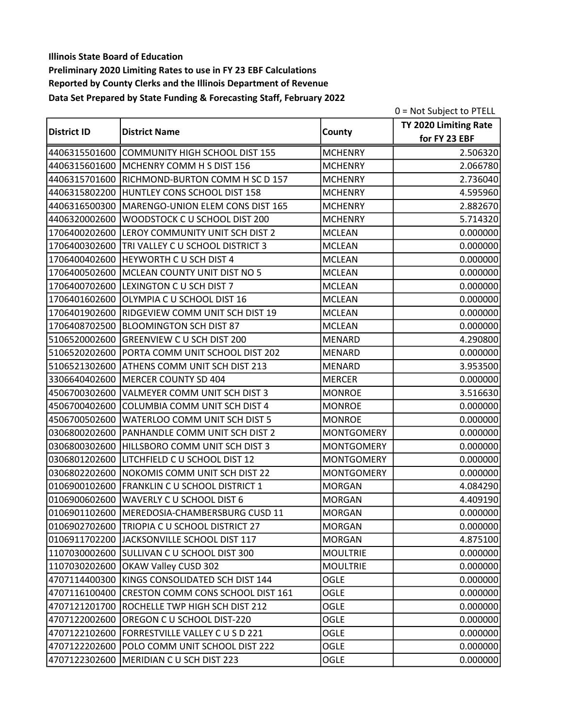|                    |                                                 |                   | 0 = Not Subject to PTELL |
|--------------------|-------------------------------------------------|-------------------|--------------------------|
| <b>District ID</b> |                                                 |                   | TY 2020 Limiting Rate    |
|                    | <b>District Name</b>                            | County            | for FY 23 EBF            |
|                    | 4406315501600 COMMUNITY HIGH SCHOOL DIST 155    | <b>MCHENRY</b>    | 2.506320                 |
|                    | 4406315601600 MCHENRY COMM H S DIST 156         | <b>MCHENRY</b>    | 2.066780                 |
|                    | 4406315701600 RICHMOND-BURTON COMM H SC D 157   | <b>MCHENRY</b>    | 2.736040                 |
|                    | 4406315802200 HUNTLEY CONS SCHOOL DIST 158      | <b>MCHENRY</b>    | 4.595960                 |
| 4406316500300      | MARENGO-UNION ELEM CONS DIST 165                | <b>MCHENRY</b>    | 2.882670                 |
| 4406320002600      | WOODSTOCK C U SCHOOL DIST 200                   | <b>MCHENRY</b>    | 5.714320                 |
| 1706400202600      | LEROY COMMUNITY UNIT SCH DIST 2                 | <b>MCLEAN</b>     | 0.000000                 |
| 1706400302600      | TRI VALLEY C U SCHOOL DISTRICT 3                | <b>MCLEAN</b>     | 0.000000                 |
| 1706400402600      | <b>HEYWORTH C U SCH DIST 4</b>                  | <b>MCLEAN</b>     | 0.000000                 |
| 1706400502600      | MCLEAN COUNTY UNIT DIST NO 5                    | <b>MCLEAN</b>     | 0.000000                 |
|                    | 1706400702600 LEXINGTON C U SCH DIST 7          | <b>MCLEAN</b>     | 0.000000                 |
|                    | 1706401602600 OLYMPIA C U SCHOOL DIST 16        | <b>MCLEAN</b>     | 0.000000                 |
| 1706401902600      | <b>RIDGEVIEW COMM UNIT SCH DIST 19</b>          | <b>MCLEAN</b>     | 0.000000                 |
| 1706408702500      | BLOOMINGTON SCH DIST 87                         | <b>MCLEAN</b>     | 0.000000                 |
| 5106520002600      | <b>GREENVIEW C U SCH DIST 200</b>               | <b>MENARD</b>     | 4.290800                 |
|                    | 5106520202600 PORTA COMM UNIT SCHOOL DIST 202   | <b>MENARD</b>     | 0.000000                 |
|                    | 5106521302600 ATHENS COMM UNIT SCH DIST 213     | <b>MENARD</b>     | 3.953500                 |
|                    | 3306640402600 MERCER COUNTY SD 404              | <b>MERCER</b>     | 0.000000                 |
| 4506700302600      | VALMEYER COMM UNIT SCH DIST 3                   | <b>MONROE</b>     | 3.516630                 |
| 4506700402600      | <b>COLUMBIA COMM UNIT SCH DIST 4</b>            | <b>MONROE</b>     | 0.000000                 |
| 4506700502600      | WATERLOO COMM UNIT SCH DIST 5                   | <b>MONROE</b>     | 0.000000                 |
| 0306800202600      | PANHANDLE COMM UNIT SCH DIST 2                  | <b>MONTGOMERY</b> | 0.000000                 |
| 0306800302600      | HILLSBORO COMM UNIT SCH DIST 3                  | <b>MONTGOMERY</b> | 0.000000                 |
| 0306801202600      | LITCHFIELD C U SCHOOL DIST 12                   | <b>MONTGOMERY</b> | 0.000000                 |
|                    | 0306802202600 NOKOMIS COMM UNIT SCH DIST 22     | <b>MONTGOMERY</b> | 0.000000                 |
|                    | 0106900102600 FRANKLIN C U SCHOOL DISTRICT 1    | <b>MORGAN</b>     | 4.084290                 |
| 0106900602600      | WAVERLY C U SCHOOL DIST 6                       | <b>MORGAN</b>     | 4.409190                 |
|                    | 0106901102600 MEREDOSIA-CHAMBERSBURG CUSD 11    | <b>MORGAN</b>     | 0.000000                 |
|                    | 0106902702600 TRIOPIA C U SCHOOL DISTRICT 27    | <b>MORGAN</b>     | 0.000000                 |
|                    | 0106911702200 JJACKSONVILLE SCHOOL DIST 117     | <b>MORGAN</b>     | 4.875100                 |
|                    | 1107030002600 SULLIVAN C U SCHOOL DIST 300      | <b>MOULTRIE</b>   | 0.000000                 |
|                    | 1107030202600 OKAW Valley CUSD 302              | <b>MOULTRIE</b>   | 0.000000                 |
|                    | 4707114400300 KINGS CONSOLIDATED SCH DIST 144   | <b>OGLE</b>       | 0.000000                 |
|                    | 4707116100400 CRESTON COMM CONS SCHOOL DIST 161 | <b>OGLE</b>       | 0.000000                 |
|                    | 4707121201700 ROCHELLE TWP HIGH SCH DIST 212    | <b>OGLE</b>       | 0.000000                 |
| 4707122002600      | OREGON C U SCHOOL DIST-220                      | OGLE              | 0.000000                 |
|                    | 4707122102600   FORRESTVILLE VALLEY C U S D 221 | OGLE              | 0.000000                 |
|                    | 4707122202600 POLO COMM UNIT SCHOOL DIST 222    | OGLE              | 0.000000                 |
|                    | 4707122302600   MERIDIAN C U SCH DIST 223       | OGLE              | 0.000000                 |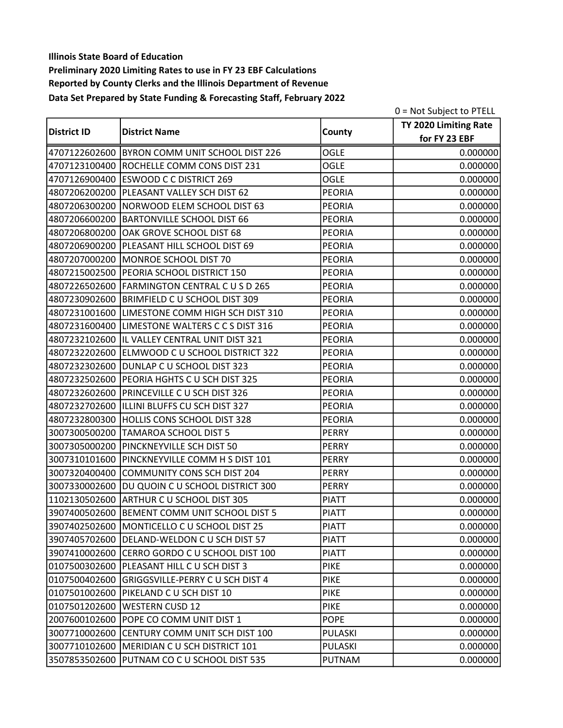|                    |                                                 |               | 0 = Not Subject to PTELL |
|--------------------|-------------------------------------------------|---------------|--------------------------|
|                    |                                                 |               | TY 2020 Limiting Rate    |
| <b>District ID</b> | <b>District Name</b>                            | County        | for FY 23 EBF            |
|                    | 4707122602600 BYRON COMM UNIT SCHOOL DIST 226   | <b>OGLE</b>   | 0.000000                 |
|                    | 4707123100400 ROCHELLE COMM CONS DIST 231       | <b>OGLE</b>   | 0.000000                 |
|                    | 4707126900400 ESWOOD C C DISTRICT 269           | <b>OGLE</b>   | 0.000000                 |
|                    | 4807206200200   PLEASANT VALLEY SCH DIST 62     | <b>PEORIA</b> | 0.000000                 |
|                    | 4807206300200   NORWOOD ELEM SCHOOL DIST 63     | <b>PEORIA</b> | 0.000000                 |
|                    | 4807206600200 BARTONVILLE SCHOOL DIST 66        | <b>PEORIA</b> | 0.000000                 |
|                    | 4807206800200 OAK GROVE SCHOOL DIST 68          | <b>PEORIA</b> | 0.000000                 |
|                    | 4807206900200 PLEASANT HILL SCHOOL DIST 69      | <b>PEORIA</b> | 0.000000                 |
|                    | 4807207000200 MONROE SCHOOL DIST 70             | <b>PEORIA</b> | 0.000000                 |
| 4807215002500      | <b>PEORIA SCHOOL DISTRICT 150</b>               | <b>PEORIA</b> | 0.000000                 |
|                    | 4807226502600 FARMINGTON CENTRAL C U S D 265    | <b>PEORIA</b> | 0.000000                 |
|                    | 4807230902600 BRIMFIELD C U SCHOOL DIST 309     | <b>PEORIA</b> | 0.000000                 |
|                    | 4807231001600 LIMESTONE COMM HIGH SCH DIST 310  | <b>PEORIA</b> | 0.000000                 |
|                    | 4807231600400 LIMESTONE WALTERS C C S DIST 316  | <b>PEORIA</b> | 0.000000                 |
|                    | 4807232102600  IL VALLEY CENTRAL UNIT DIST 321  | <b>PEORIA</b> | 0.000000                 |
|                    | 4807232202600 ELMWOOD C U SCHOOL DISTRICT 322   | <b>PEORIA</b> | 0.000000                 |
|                    | 4807232302600 DUNLAP C U SCHOOL DIST 323        | <b>PEORIA</b> | 0.000000                 |
|                    | 4807232502600 PEORIA HGHTS C U SCH DIST 325     | <b>PEORIA</b> | 0.000000                 |
|                    | 4807232602600 PRINCEVILLE C U SCH DIST 326      | <b>PEORIA</b> | 0.000000                 |
|                    | 4807232702600  ILLINI BLUFFS CU SCH DIST 327    | <b>PEORIA</b> | 0.000000                 |
|                    | 4807232800300 HOLLIS CONS SCHOOL DIST 328       | <b>PEORIA</b> | 0.000000                 |
|                    | 3007300500200 TAMAROA SCHOOL DIST 5             | <b>PERRY</b>  | 0.000000                 |
|                    | 3007305000200 PINCKNEYVILLE SCH DIST 50         | <b>PERRY</b>  | 0.000000                 |
| 3007310101600      | PINCKNEYVILLE COMM H S DIST 101                 | <b>PERRY</b>  | 0.000000                 |
| 3007320400400      | COMMUNITY CONS SCH DIST 204                     | <b>PERRY</b>  | 0.000000                 |
|                    | 3007330002600  DU QUOIN C U SCHOOL DISTRICT 300 | <b>PERRY</b>  | 0.000000                 |
|                    | 1102130502600 ARTHUR C U SCHOOL DIST 305        | <b>PIATT</b>  | 0.000000                 |
|                    | 3907400502600 BEMENT COMM UNIT SCHOOL DIST 5    | <b>PIATT</b>  | 0.000000                 |
|                    | 3907402502600 MONTICELLO C U SCHOOL DIST 25     | <b>PIATT</b>  | 0.000000                 |
|                    | 3907405702600 DELAND-WELDON C U SCH DIST 57     | <b>PIATT</b>  | 0.000000                 |
|                    | 3907410002600 CERRO GORDO C U SCHOOL DIST 100   | <b>PIATT</b>  | 0.000000                 |
| 0107500302600      | PLEASANT HILL C U SCH DIST 3                    | <b>PIKE</b>   | 0.000000                 |
| 0107500402600      | <b>GRIGGSVILLE-PERRY C U SCH DIST 4</b>         | <b>PIKE</b>   | 0.000000                 |
|                    | 0107501002600 PIKELAND C U SCH DIST 10          | <b>PIKE</b>   | 0.000000                 |
|                    | 0107501202600   WESTERN CUSD 12                 | <b>PIKE</b>   | 0.000000                 |
|                    | 2007600102600 POPE CO COMM UNIT DIST 1          | <b>POPE</b>   | 0.000000                 |
|                    | 3007710002600 CENTURY COMM UNIT SCH DIST 100    | PULASKI       | 0.000000                 |
|                    | 3007710102600 MERIDIAN C U SCH DISTRICT 101     | PULASKI       | 0.000000                 |
|                    | 3507853502600 PUTNAM CO C U SCHOOL DIST 535     | <b>PUTNAM</b> | 0.000000                 |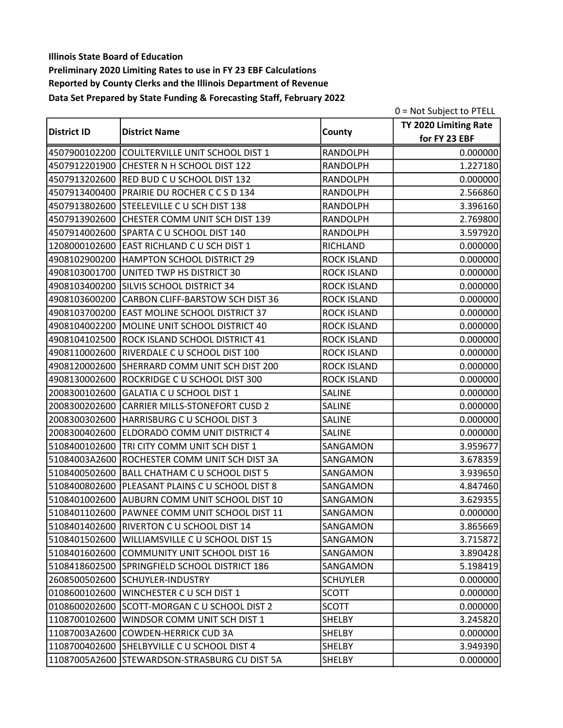|                    |                                                 |                    | 0 = Not Subject to PTELL |
|--------------------|-------------------------------------------------|--------------------|--------------------------|
| <b>District ID</b> |                                                 |                    | TY 2020 Limiting Rate    |
|                    | <b>District Name</b>                            | County             | for FY 23 EBF            |
|                    | 4507900102200 COULTERVILLE UNIT SCHOOL DIST 1   | <b>RANDOLPH</b>    | 0.000000                 |
|                    | 4507912201900 CHESTER N H SCHOOL DIST 122       | <b>RANDOLPH</b>    | 1.227180                 |
|                    | 4507913202600 RED BUD C U SCHOOL DIST 132       | <b>RANDOLPH</b>    | 0.000000                 |
|                    | 4507913400400 PRAIRIE DU ROCHER C C S D 134     | <b>RANDOLPH</b>    | 2.566860                 |
|                    | 4507913802600 STEELEVILLE C U SCH DIST 138      | <b>RANDOLPH</b>    | 3.396160                 |
|                    | 4507913902600 CHESTER COMM UNIT SCH DIST 139    | RANDOLPH           | 2.769800                 |
|                    | 4507914002600 SPARTA C U SCHOOL DIST 140        | <b>RANDOLPH</b>    | 3.597920                 |
|                    | 1208000102600 EAST RICHLAND C U SCH DIST 1      | RICHLAND           | 0.000000                 |
|                    | 4908102900200 HAMPTON SCHOOL DISTRICT 29        | <b>ROCK ISLAND</b> | 0.000000                 |
| 4908103001700      | UNITED TWP HS DISTRICT 30                       | <b>ROCK ISLAND</b> | 0.000000                 |
|                    | 4908103400200 SILVIS SCHOOL DISTRICT 34         | <b>ROCK ISLAND</b> | 0.000000                 |
|                    | 4908103600200 CARBON CLIFF-BARSTOW SCH DIST 36  | <b>ROCK ISLAND</b> | 0.000000                 |
|                    | 4908103700200 EAST MOLINE SCHOOL DISTRICT 37    | <b>ROCK ISLAND</b> | 0.000000                 |
| 4908104002200      | MOLINE UNIT SCHOOL DISTRICT 40                  | <b>ROCK ISLAND</b> | 0.000000                 |
| 4908104102500      | <b>ROCK ISLAND SCHOOL DISTRICT 41</b>           | <b>ROCK ISLAND</b> | 0.000000                 |
|                    | 4908110002600 RIVERDALE C U SCHOOL DIST 100     | <b>ROCK ISLAND</b> | 0.000000                 |
|                    | 4908120002600 SHERRARD COMM UNIT SCH DIST 200   | <b>ROCK ISLAND</b> | 0.000000                 |
|                    | 4908130002600 ROCKRIDGE C U SCHOOL DIST 300     | <b>ROCK ISLAND</b> | 0.000000                 |
| 2008300102600      | GALATIA C U SCHOOL DIST 1                       | SALINE             | 0.000000                 |
| 2008300202600      | <b>CARRIER MILLS-STONEFORT CUSD 2</b>           | <b>SALINE</b>      | 0.000000                 |
| 2008300302600      | HARRISBURG C U SCHOOL DIST 3                    | SALINE             | 0.000000                 |
| 2008300402600      | ELDORADO COMM UNIT DISTRICT 4                   | SALINE             | 0.000000                 |
| 5108400102600      | TRI CITY COMM UNIT SCH DIST 1                   | SANGAMON           | 3.959677                 |
| 51084003A2600      | ROCHESTER COMM UNIT SCH DIST 3A                 | SANGAMON           | 3.678359                 |
|                    | 5108400502600 BALL CHATHAM C U SCHOOL DIST 5    | SANGAMON           | 3.939650                 |
|                    | 5108400802600 PLEASANT PLAINS C U SCHOOL DIST 8 | SANGAMON           | 4.847460                 |
|                    | 5108401002600 AUBURN COMM UNIT SCHOOL DIST 10   | SANGAMON           | 3.629355                 |
|                    | 5108401102600 PAWNEE COMM UNIT SCHOOL DIST 11   | SANGAMON           | 0.000000                 |
|                    | 5108401402600 RIVERTON CU SCHOOL DIST 14        | SANGAMON           | 3.865669                 |
|                    | 5108401502600 WILLIAMSVILLE C U SCHOOL DIST 15  | SANGAMON           | 3.715872                 |
|                    | 5108401602600 COMMUNITY UNIT SCHOOL DIST 16     | SANGAMON           | 3.890428                 |
| 5108418602500      | SPRINGFIELD SCHOOL DISTRICT 186                 | SANGAMON           | 5.198419                 |
| 2608500502600      | SCHUYLER-INDUSTRY                               | <b>SCHUYLER</b>    | 0.000000                 |
| 0108600102600      | WINCHESTER C U SCH DIST 1                       | <b>SCOTT</b>       | 0.000000                 |
| 0108600202600      | SCOTT-MORGAN C U SCHOOL DIST 2                  | <b>SCOTT</b>       | 0.000000                 |
| 1108700102600      | WINDSOR COMM UNIT SCH DIST 1                    | <b>SHELBY</b>      | 3.245820                 |
|                    | 11087003A2600 COWDEN-HERRICK CUD 3A             | SHELBY             | 0.000000                 |
|                    | 1108700402600 SHELBYVILLE C U SCHOOL DIST 4     | SHELBY             | 3.949390                 |
|                    | 11087005A2600 STEWARDSON-STRASBURG CU DIST 5A   | SHELBY             | 0.000000                 |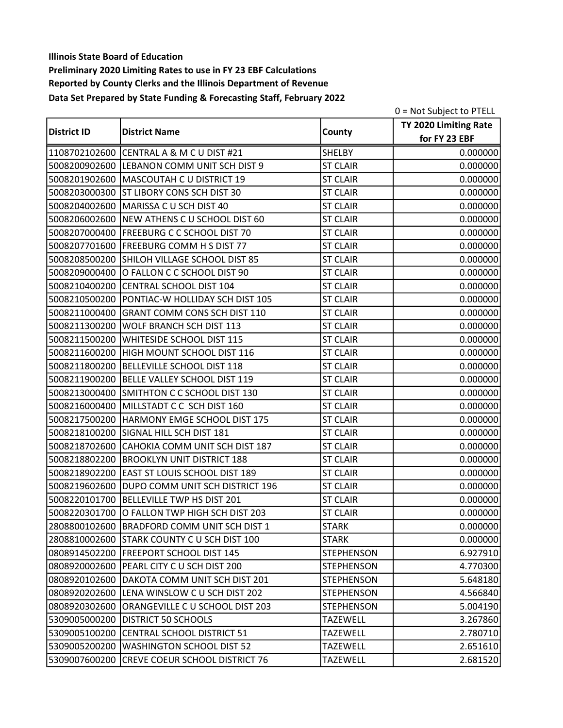|                    |                                               |                   | 0 = Not Subject to PTELL |
|--------------------|-----------------------------------------------|-------------------|--------------------------|
| <b>District ID</b> |                                               |                   | TY 2020 Limiting Rate    |
|                    | <b>District Name</b>                          | County            | for FY 23 EBF            |
|                    | 1108702102600 CENTRAL A & M C U DIST #21      | <b>SHELBY</b>     | 0.000000                 |
|                    | 5008200902600 LEBANON COMM UNIT SCH DIST 9    | <b>ST CLAIR</b>   | 0.000000                 |
|                    | 5008201902600 MASCOUTAH C U DISTRICT 19       | <b>ST CLAIR</b>   | 0.000000                 |
|                    | 5008203000300 ST LIBORY CONS SCH DIST 30      | <b>ST CLAIR</b>   | 0.000000                 |
|                    | 5008204002600   MARISSA C U SCH DIST 40       | <b>ST CLAIR</b>   | 0.000000                 |
|                    | 5008206002600 NEW ATHENS C U SCHOOL DIST 60   | <b>ST CLAIR</b>   | 0.000000                 |
|                    | 5008207000400 FREEBURG C C SCHOOL DIST 70     | <b>ST CLAIR</b>   | 0.000000                 |
|                    | 5008207701600 FREEBURG COMM H S DIST 77       | <b>ST CLAIR</b>   | 0.000000                 |
| 5008208500200      | SHILOH VILLAGE SCHOOL DIST 85                 | <b>ST CLAIR</b>   | 0.000000                 |
| 5008209000400      | O FALLON C C SCHOOL DIST 90                   | <b>ST CLAIR</b>   | 0.000000                 |
|                    | 5008210400200 CENTRAL SCHOOL DIST 104         | <b>ST CLAIR</b>   | 0.000000                 |
|                    | 5008210500200 PONTIAC-W HOLLIDAY SCH DIST 105 | <b>ST CLAIR</b>   | 0.000000                 |
| 5008211000400      | GRANT COMM CONS SCH DIST 110                  | <b>ST CLAIR</b>   | 0.000000                 |
| 5008211300200      | <b>WOLF BRANCH SCH DIST 113</b>               | <b>ST CLAIR</b>   | 0.000000                 |
| 5008211500200      | WHITESIDE SCHOOL DIST 115                     | <b>ST CLAIR</b>   | 0.000000                 |
|                    | 5008211600200 HIGH MOUNT SCHOOL DIST 116      | <b>ST CLAIR</b>   | 0.000000                 |
|                    | 5008211800200 BELLEVILLE SCHOOL DIST 118      | <b>ST CLAIR</b>   | 0.000000                 |
|                    | 5008211900200   BELLE VALLEY SCHOOL DIST 119  | <b>ST CLAIR</b>   | 0.000000                 |
| 5008213000400      | SMITHTON C C SCHOOL DIST 130                  | <b>ST CLAIR</b>   | 0.000000                 |
|                    | 5008216000400 MILLSTADT C C SCH DIST 160      | <b>ST CLAIR</b>   | 0.000000                 |
|                    | 5008217500200 HARMONY EMGE SCHOOL DIST 175    | <b>ST CLAIR</b>   | 0.000000                 |
|                    | 5008218100200 SIGNAL HILL SCH DIST 181        | <b>ST CLAIR</b>   | 0.000000                 |
| 5008218702600      | CAHOKIA COMM UNIT SCH DIST 187                | <b>ST CLAIR</b>   | 0.000000                 |
| 5008218802200      | <b>BROOKLYN UNIT DISTRICT 188</b>             | <b>ST CLAIR</b>   | 0.000000                 |
|                    | 5008218902200 EAST ST LOUIS SCHOOL DIST 189   | <b>ST CLAIR</b>   | 0.000000                 |
|                    | 5008219602600 DUPO COMM UNIT SCH DISTRICT 196 | <b>ST CLAIR</b>   | 0.000000                 |
| 5008220101700      | BELLEVILLE TWP HS DIST 201                    | <b>ST CLAIR</b>   | 0.000000                 |
|                    | 5008220301700 O FALLON TWP HIGH SCH DIST 203  | <b>ST CLAIR</b>   | 0.000000                 |
|                    | 2808800102600 BRADFORD COMM UNIT SCH DIST 1   | <b>STARK</b>      | 0.000000                 |
|                    | 2808810002600 STARK COUNTY C U SCH DIST 100   | <b>STARK</b>      | 0.000000                 |
|                    | 0808914502200 FREEPORT SCHOOL DIST 145        | <b>STEPHENSON</b> | 6.927910                 |
|                    | 0808920002600 PEARL CITY C U SCH DIST 200     | <b>STEPHENSON</b> | 4.770300                 |
|                    | 0808920102600 DAKOTA COMM UNIT SCH DIST 201   | <b>STEPHENSON</b> | 5.648180                 |
|                    | 0808920202600 LENA WINSLOW C U SCH DIST 202   | <b>STEPHENSON</b> | 4.566840                 |
| 0808920302600      | ORANGEVILLE C U SCHOOL DIST 203               | <b>STEPHENSON</b> | 5.004190                 |
| 5309005000200      | <b>DISTRICT 50 SCHOOLS</b>                    | <b>TAZEWELL</b>   | 3.267860                 |
|                    | 5309005100200 CENTRAL SCHOOL DISTRICT 51      | <b>TAZEWELL</b>   | 2.780710                 |
| 5309005200200      | <b>WASHINGTON SCHOOL DIST 52</b>              | <b>TAZEWELL</b>   | 2.651610                 |
| 5309007600200      | <b>CREVE COEUR SCHOOL DISTRICT 76</b>         | <b>TAZEWELL</b>   | 2.681520                 |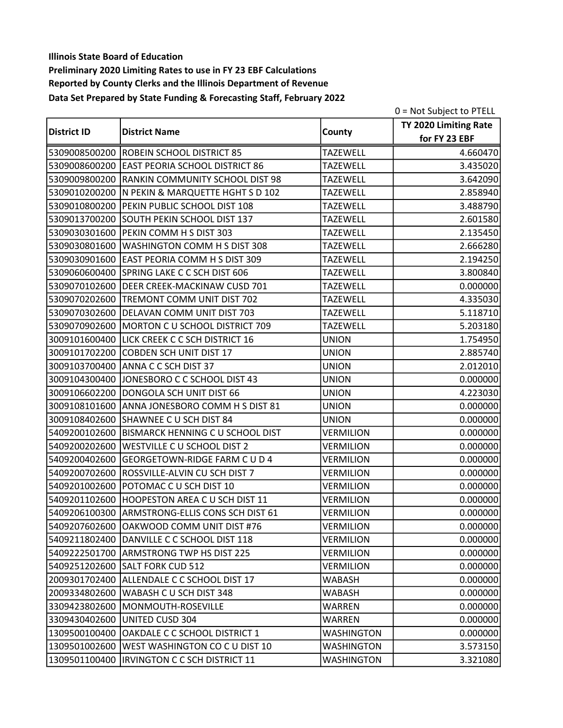|                    |                                                 |                   | 0 = Not Subject to PTELL |
|--------------------|-------------------------------------------------|-------------------|--------------------------|
| <b>District ID</b> | <b>District Name</b>                            |                   | TY 2020 Limiting Rate    |
|                    |                                                 | County            | for FY 23 EBF            |
|                    | 5309008500200 ROBEIN SCHOOL DISTRICT 85         | <b>TAZEWELL</b>   | 4.660470                 |
|                    | 5309008600200 EAST PEORIA SCHOOL DISTRICT 86    | <b>TAZEWELL</b>   | 3.435020                 |
|                    | 5309009800200 RANKIN COMMUNITY SCHOOL DIST 98   | <b>TAZEWELL</b>   | 3.642090                 |
|                    | 5309010200200  N PEKIN & MARQUETTE HGHT S D 102 | <b>TAZEWELL</b>   | 2.858940                 |
|                    | 5309010800200 PEKIN PUBLIC SCHOOL DIST 108      | <b>TAZEWELL</b>   | 3.488790                 |
|                    | 5309013700200 SOUTH PEKIN SCHOOL DIST 137       | <b>TAZEWELL</b>   | 2.601580                 |
|                    | 5309030301600 PEKIN COMM H S DIST 303           | <b>TAZEWELL</b>   | 2.135450                 |
|                    | 5309030801600 WASHINGTON COMM H S DIST 308      | <b>TAZEWELL</b>   | 2.666280                 |
|                    | 5309030901600 EAST PEORIA COMM H S DIST 309     | <b>TAZEWELL</b>   | 2.194250                 |
|                    | 5309060600400 SPRING LAKE C C SCH DIST 606      | <b>TAZEWELL</b>   | 3.800840                 |
|                    | 5309070102600 DEER CREEK-MACKINAW CUSD 701      | <b>TAZEWELL</b>   | 0.000000                 |
|                    | 5309070202600 TREMONT COMM UNIT DIST 702        | <b>TAZEWELL</b>   | 4.335030                 |
|                    | 5309070302600 DELAVAN COMM UNIT DIST 703        | <b>TAZEWELL</b>   | 5.118710                 |
|                    | 5309070902600 MORTON C U SCHOOL DISTRICT 709    | <b>TAZEWELL</b>   | 5.203180                 |
|                    | 3009101600400 LICK CREEK C C SCH DISTRICT 16    | <b>UNION</b>      | 1.754950                 |
|                    | 3009101702200 COBDEN SCH UNIT DIST 17           | <b>UNION</b>      | 2.885740                 |
|                    | 3009103700400 ANNA C C SCH DIST 37              | <b>UNION</b>      | 2.012010                 |
|                    | 3009104300400 JONESBORO C C SCHOOL DIST 43      | <b>UNION</b>      | 0.000000                 |
|                    | 3009106602200 DONGOLA SCH UNIT DIST 66          | <b>UNION</b>      | 4.223030                 |
|                    | 3009108101600 ANNA JONESBORO COMM H S DIST 81   | <b>UNION</b>      | 0.000000                 |
|                    | 3009108402600 SHAWNEE C U SCH DIST 84           | <b>UNION</b>      | 0.000000                 |
|                    | 5409200102600 BISMARCK HENNING C U SCHOOL DIST  | <b>VERMILION</b>  | 0.000000                 |
|                    | 5409200202600   WESTVILLE C U SCHOOL DIST 2     | <b>VERMILION</b>  | 0.000000                 |
| 5409200402600      | GEORGETOWN-RIDGE FARM C U D 4                   | <b>VERMILION</b>  | 0.000000                 |
|                    | 5409200702600 ROSSVILLE-ALVIN CU SCH DIST 7     | <b>VERMILION</b>  | 0.000000                 |
|                    | 5409201002600 POTOMAC C U SCH DIST 10           | <b>VERMILION</b>  | 0.000000                 |
|                    | 5409201102600 HOOPESTON AREA C U SCH DIST 11    | <b>VERMILION</b>  | 0.000000                 |
|                    | 5409206100300 ARMSTRONG-ELLIS CONS SCH DIST 61  | <b>VERMILION</b>  | 0.000000                 |
|                    | 5409207602600 OAKWOOD COMM UNIT DIST #76        | <b>VERMILION</b>  | 0.000000                 |
|                    | 5409211802400 DANVILLE C C SCHOOL DIST 118      | <b>VERMILION</b>  | 0.000000                 |
|                    | 5409222501700 ARMSTRONG TWP HS DIST 225         | <b>VERMILION</b>  | 0.000000                 |
|                    | 5409251202600 SALT FORK CUD 512                 | <b>VERMILION</b>  | 0.000000                 |
|                    | 2009301702400 ALLENDALE C C SCHOOL DIST 17      | WABASH            | 0.000000                 |
|                    | 2009334802600 WABASH C U SCH DIST 348           | <b>WABASH</b>     | 0.000000                 |
|                    | 3309423802600 MONMOUTH-ROSEVILLE                | <b>WARREN</b>     | 0.000000                 |
|                    | 3309430402600 UNITED CUSD 304                   | <b>WARREN</b>     | 0.000000                 |
|                    | 1309500100400 OAKDALE C C SCHOOL DISTRICT 1     | <b>WASHINGTON</b> | 0.000000                 |
| 1309501002600      | WEST WASHINGTON CO C U DIST 10                  | <b>WASHINGTON</b> | 3.573150                 |
|                    | 1309501100400  IRVINGTON C C SCH DISTRICT 11    | <b>WASHINGTON</b> | 3.321080                 |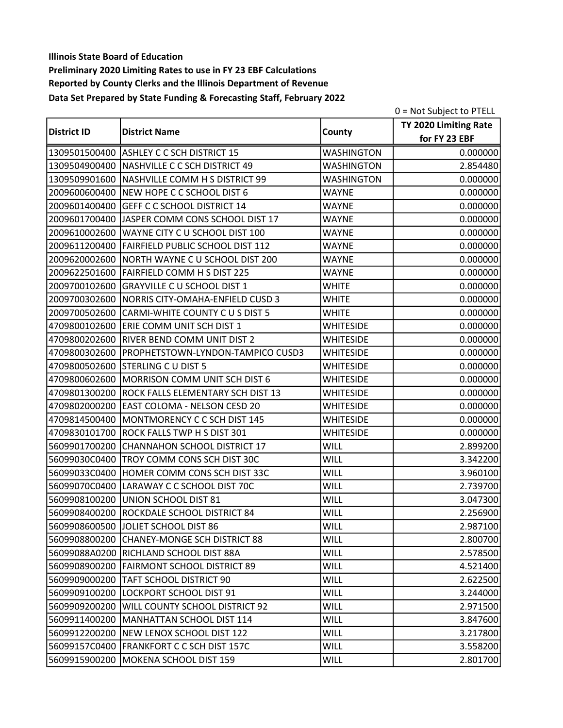|                    |                                                  |                   | 0 = Not Subject to PTELL |
|--------------------|--------------------------------------------------|-------------------|--------------------------|
|                    |                                                  | County            | TY 2020 Limiting Rate    |
| <b>District ID</b> | <b>District Name</b>                             |                   | for FY 23 EBF            |
|                    | 1309501500400 ASHLEY C C SCH DISTRICT 15         | <b>WASHINGTON</b> | 0.000000                 |
|                    | 1309504900400 NASHVILLE C C SCH DISTRICT 49      | <b>WASHINGTON</b> | 2.854480                 |
|                    | 1309509901600 NASHVILLE COMM H S DISTRICT 99     | <b>WASHINGTON</b> | 0.000000                 |
|                    | 2009600600400 NEW HOPE C C SCHOOL DIST 6         | <b>WAYNE</b>      | 0.000000                 |
| 2009601400400      | <b>GEFF C C SCHOOL DISTRICT 14</b>               | <b>WAYNE</b>      | 0.000000                 |
|                    | 2009601700400 JASPER COMM CONS SCHOOL DIST 17    | <b>WAYNE</b>      | 0.000000                 |
|                    | 2009610002600 WAYNE CITY C U SCHOOL DIST 100     | <b>WAYNE</b>      | 0.000000                 |
|                    | 2009611200400 FAIRFIELD PUBLIC SCHOOL DIST 112   | <b>WAYNE</b>      | 0.000000                 |
|                    | 2009620002600 NORTH WAYNE C U SCHOOL DIST 200    | <b>WAYNE</b>      | 0.000000                 |
|                    | 2009622501600 FAIRFIELD COMM H S DIST 225        | <b>WAYNE</b>      | 0.000000                 |
|                    | 2009700102600 GRAYVILLE C U SCHOOL DIST 1        | <b>WHITE</b>      | 0.000000                 |
|                    | 2009700302600   NORRIS CITY-OMAHA-ENFIELD CUSD 3 | <b>WHITE</b>      | 0.000000                 |
|                    | 2009700502600 CARMI-WHITE COUNTY C U S DIST 5    | <b>WHITE</b>      | 0.000000                 |
|                    | 4709800102600 ERIE COMM UNIT SCH DIST 1          | <b>WHITESIDE</b>  | 0.000000                 |
|                    | 4709800202600 RIVER BEND COMM UNIT DIST 2        | <b>WHITESIDE</b>  | 0.000000                 |
|                    | 4709800302600 PROPHETSTOWN-LYNDON-TAMPICO CUSD3  | <b>WHITESIDE</b>  | 0.000000                 |
|                    | 4709800502600 STERLING C U DIST 5                | <b>WHITESIDE</b>  | 0.000000                 |
|                    | 4709800602600 MORRISON COMM UNIT SCH DIST 6      | <b>WHITESIDE</b>  | 0.000000                 |
|                    | 4709801300200 ROCK FALLS ELEMENTARY SCH DIST 13  | <b>WHITESIDE</b>  | 0.000000                 |
|                    | 4709802000200 EAST COLOMA - NELSON CESD 20       | <b>WHITESIDE</b>  | 0.000000                 |
|                    | 4709814500400 MONTMORENCY C C SCH DIST 145       | <b>WHITESIDE</b>  | 0.000000                 |
|                    | 4709830101700 ROCK FALLS TWP H S DIST 301        | <b>WHITESIDE</b>  | 0.000000                 |
| 5609901700200      | CHANNAHON SCHOOL DISTRICT 17                     | <b>WILL</b>       | 2.899200                 |
| 56099030C0400      | TROY COMM CONS SCH DIST 30C                      | <b>WILL</b>       | 3.342200                 |
|                    | 56099033C0400 HOMER COMM CONS SCH DIST 33C       | <b>WILL</b>       | 3.960100                 |
|                    | 56099070C0400 LARAWAY C C SCHOOL DIST 70C        | <b>WILL</b>       | 2.739700                 |
|                    | 5609908100200 UNION SCHOOL DIST 81               | <b>WILL</b>       | 3.047300                 |
|                    | 5609908400200 ROCKDALE SCHOOL DISTRICT 84        | <b>WILL</b>       | 2.256900                 |
|                    | 5609908600500 JJOLIET SCHOOL DIST 86             | <b>WILL</b>       | 2.987100                 |
|                    | 5609908800200 CHANEY-MONGE SCH DISTRICT 88       | <b>WILL</b>       | 2.800700                 |
|                    | 56099088A0200 RICHLAND SCHOOL DIST 88A           | WILL              | 2.578500                 |
|                    | 5609908900200 FAIRMONT SCHOOL DISTRICT 89        | <b>WILL</b>       | 4.521400                 |
|                    | 5609909000200 TAFT SCHOOL DISTRICT 90            | WILL              | 2.622500                 |
|                    | 5609909100200 LOCKPORT SCHOOL DIST 91            | WILL              | 3.244000                 |
| 5609909200200      | WILL COUNTY SCHOOL DISTRICT 92                   | WILL              | 2.971500                 |
|                    | 5609911400200 MANHATTAN SCHOOL DIST 114          | <b>WILL</b>       | 3.847600                 |
|                    | 5609912200200 NEW LENOX SCHOOL DIST 122          | <b>WILL</b>       | 3.217800                 |
|                    | 56099157C0400   FRANKFORT C C SCH DIST 157C      | <b>WILL</b>       | 3.558200                 |
|                    | 5609915900200 MOKENA SCHOOL DIST 159             | <b>WILL</b>       | 2.801700                 |